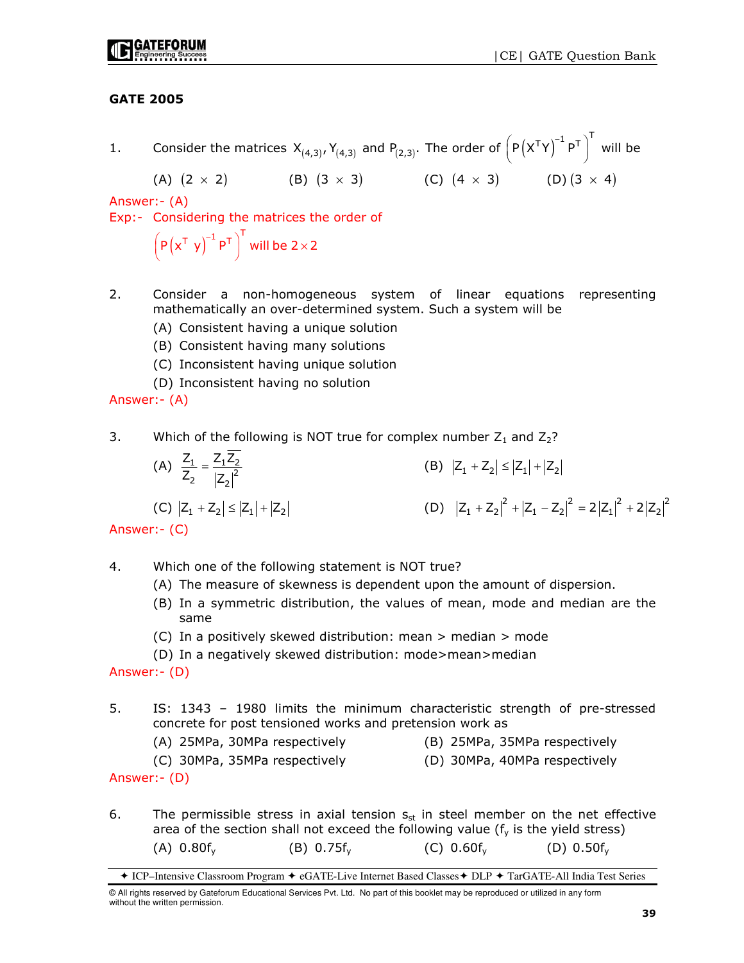# GATE 2005

1. Consider the matrices  $X_{(4,3)}, Y_{(4,3)}$  and  $P_{(2,3)}$ . The order of  $\left(P\left(X^{\mathsf{T}} Y\right)^{-1} P^{\mathsf{T}}\right)^{\mathsf{T}}$  will be

(A) 
$$
(2 \times 2)
$$
 (B)  $(3 \times 3)$  (C)  $(4 \times 3)$  (D)  $(3 \times 4)$ 

Answer:- (A)

Exp:- Considering the matrices the order of

 $\left( P\left( x^{\mathsf{T}}\right) y\right) ^{-1}P^{\mathsf{T}}\right) ^{\mathsf{T}}$  will be 2  $\times$  2

- 2. Consider a non-homogeneous system of linear equations representing mathematically an over-determined system. Such a system will be
	- (A) Consistent having a unique solution
	- (B) Consistent having many solutions
	- (C) Inconsistent having unique solution
	- (D) Inconsistent having no solution

Answer:- (A)

- 3. Which of the following is NOT true for complex number  $Z_1$  and  $Z_2$ ?
- (A)  $\frac{2_1}{Z_2} = \frac{2_1 Z_2}{|Z_2|^2}$  $Z_1$   $Z_1Z_2$  $Z_2$  |z (B)  $|Z_1 + Z_2| \le |Z_1| + |Z_2|$ (C)  $|Z_1 + Z_2| \le |Z_1| + |Z_2|$  (D)  $|Z_1 + Z_2|^2 + |Z_1 - Z_2|^2 = 2|Z_1|^2 + 2|Z_2|^2$

Answer:- (C)

- 4. Which one of the following statement is NOT true?
	- (A) The measure of skewness is dependent upon the amount of dispersion.
	- (B) In a symmetric distribution, the values of mean, mode and median are the same
	- (C) In a positively skewed distribution: mean > median > mode
	- (D) In a negatively skewed distribution: mode>mean>median

Answer:- (D)

- 5. IS: 1343 1980 limits the minimum characteristic strength of pre-stressed concrete for post tensioned works and pretension work as
	- (A) 25MPa, 30MPa respectively (B) 25MPa, 35MPa respectively
		-

- (C) 30MPa, 35MPa respectively (D) 30MPa, 40MPa respectively
- Answer:- (D)
- 6. The permissible stress in axial tension  $s_{st}$  in steel member on the net effective area of the section shall not exceed the following value ( $f<sub>v</sub>$  is the yield stress) (A)  $0.80f_v$  (B)  $0.75f_v$  (C)  $0.60f_v$  (D)  $0.50f_v$

ICP–Intensive Classroom Program eGATE-Live Internet Based Classes DLP TarGATE-All India Test Series

<sup>©</sup> All rights reserved by Gateforum Educational Services Pvt. Ltd. No part of this booklet may be reproduced or utilized in any form without the written permission.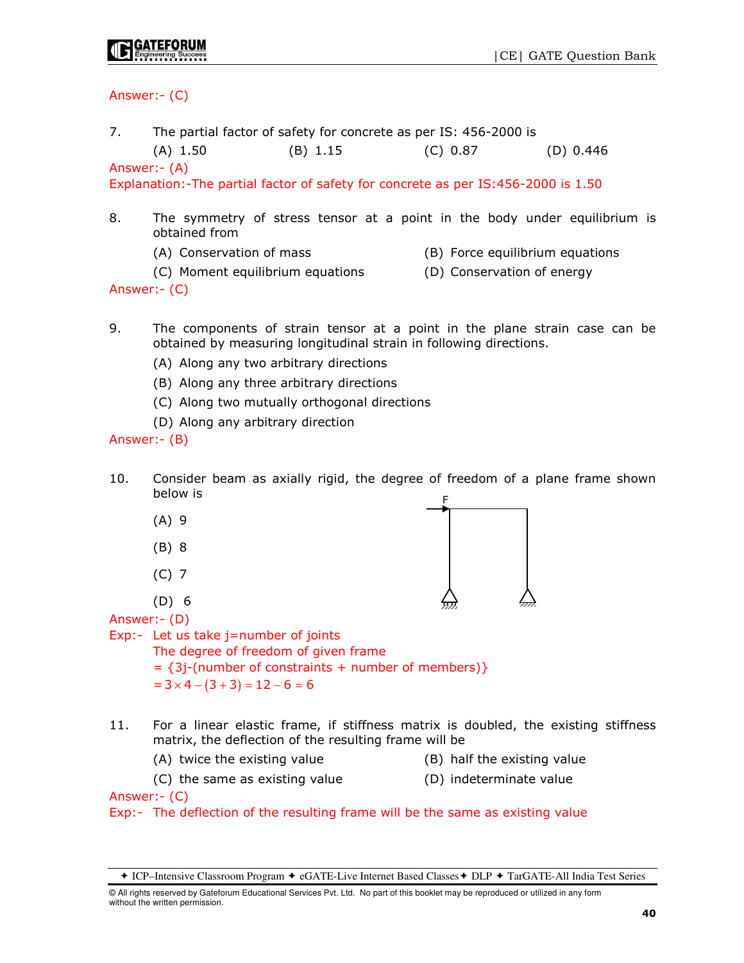Answer:- (C)

7. The partial factor of safety for concrete as per IS: 456-2000 is

(A) 1.50 (B) 1.15 (C) 0.87 (D) 0.446

Answer:- (A)

Explanation:-The partial factor of safety for concrete as per IS:456-2000 is 1.50

- 8. The symmetry of stress tensor at a point in the body under equilibrium is obtained from
	- (A) Conservation of mass (B) Force equilibrium equations
		-
	- (C) Moment equilibrium equations (D) Conservation of energy

Answer:- (C)

9. The components of strain tensor at a point in the plane strain case can be obtained by measuring longitudinal strain in following directions.

- (A) Along any two arbitrary directions
- (B) Along any three arbitrary directions
- (C) Along two mutually orthogonal directions
- (D) Along any arbitrary direction

## Answer:- (B)

- 10. Consider beam as axially rigid, the degree of freedom of a plane frame shown below is
	- (A) 9
	- (B) 8
	- (C) 7
	- (D) 6



Answer:- (D)

Exp:- Let us take j=number of joints

 The degree of freedom of given frame  $= {3i$ -(number of constraints + number of members) }

 $=3 \times 4 - (3 + 3) = 12 - 6 = 6$ 

- 11. For a linear elastic frame, if stiffness matrix is doubled, the existing stiffness matrix, the deflection of the resulting frame will be
	- (A) twice the existing value (B) half the existing value
- - (C) the same as existing value (D) indeterminate value
- 

Answer:- (C)

Exp:- The deflection of the resulting frame will be the same as existing value

<sup>◆</sup> ICP–Intensive Classroom Program ◆ eGATE-Live Internet Based Classes ◆ DLP ◆ TarGATE-All India Test Series

<sup>©</sup> All rights reserved by Gateforum Educational Services Pvt. Ltd. No part of this booklet may be reproduced or utilized in any form without the written permission.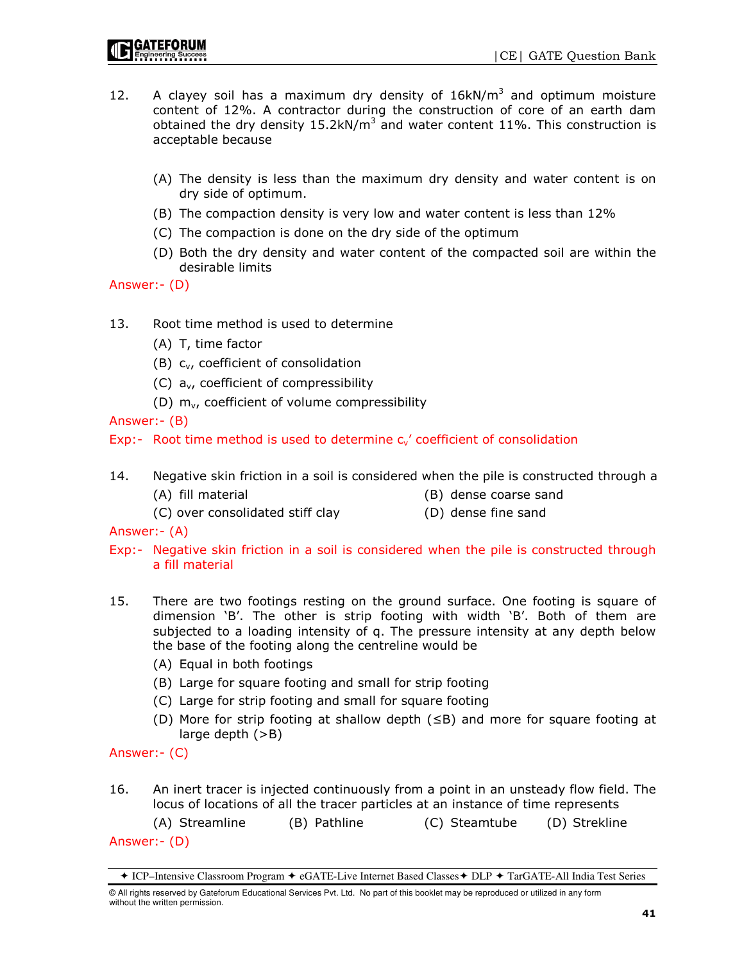- 12. A clayey soil has a maximum dry density of  $16kN/m<sup>3</sup>$  and optimum moisture content of 12%. A contractor during the construction of core of an earth dam obtained the dry density 15.2kN/m<sup>3</sup> and water content 11%. This construction is acceptable because
	- (A) The density is less than the maximum dry density and water content is on dry side of optimum.
	- (B) The compaction density is very low and water content is less than 12%
	- (C) The compaction is done on the dry side of the optimum
	- (D) Both the dry density and water content of the compacted soil are within the desirable limits

Answer:- (D)

- 13. Root time method is used to determine
	- (A) T, time factor
	- (B) cv, coefficient of consolidation
	- (C)  $a_{v}$ , coefficient of compressibility
	- (D)  $m_v$ , coefficient of volume compressibility

Answer:- (B)

Exp:- Root time method is used to determine  $c_v$  coefficient of consolidation

- 14. Negative skin friction in a soil is considered when the pile is constructed through a (A) fill material (B) dense coarse sand
	- (C) over consolidated stiff clay (D) dense fine sand
- 

Answer:- (A)

- Exp:- Negative skin friction in a soil is considered when the pile is constructed through a fill material
- 15. There are two footings resting on the ground surface. One footing is square of dimension 'B'. The other is strip footing with width 'B'. Both of them are subjected to a loading intensity of q. The pressure intensity at any depth below the base of the footing along the centreline would be
	- (A) Equal in both footings
	- (B) Large for square footing and small for strip footing
	- (C) Large for strip footing and small for square footing
	- (D) More for strip footing at shallow depth (≤B) and more for square footing at large depth (>B)

Answer:- (C)

16. An inert tracer is injected continuously from a point in an unsteady flow field. The locus of locations of all the tracer particles at an instance of time represents

 (A) Streamline (B) Pathline (C) Steamtube (D) Strekline Answer:- (D)

<sup>◆</sup> ICP–Intensive Classroom Program ◆ eGATE-Live Internet Based Classes ◆ DLP ◆ TarGATE-All India Test Series

<sup>©</sup> All rights reserved by Gateforum Educational Services Pvt. Ltd. No part of this booklet may be reproduced or utilized in any form without the written permission.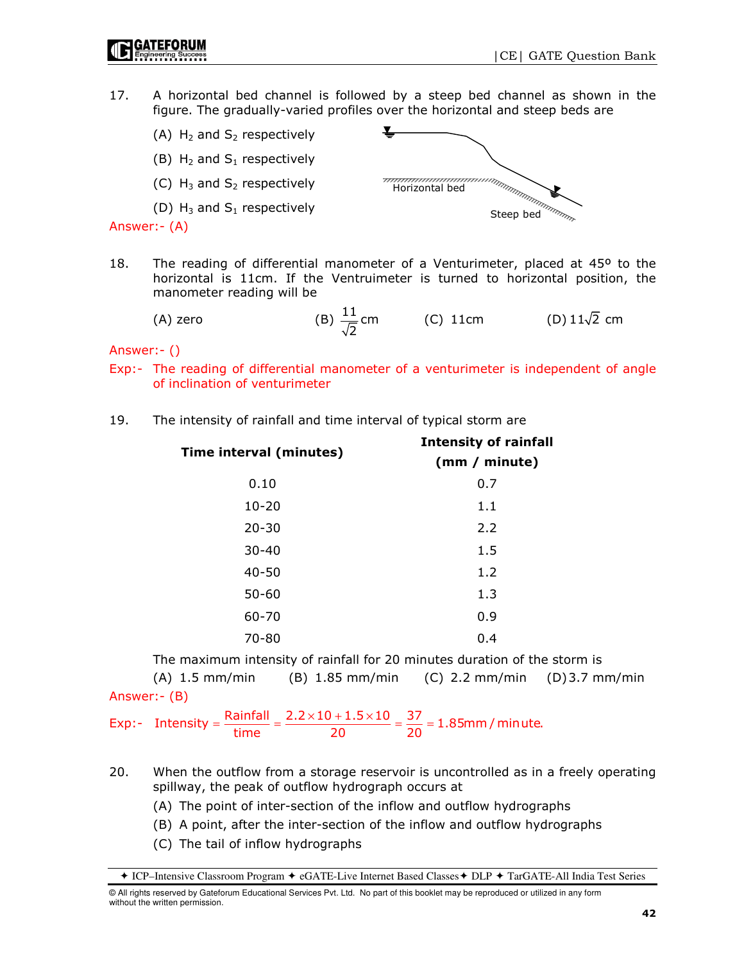17. A horizontal bed channel is followed by a steep bed channel as shown in the figure. The gradually-varied profiles over the horizontal and steep beds are



18. The reading of differential manometer of a Venturimeter, placed at 45º to the horizontal is 11cm. If the Ventruimeter is turned to horizontal position, the manometer reading will be

(A) zero  $(B) \frac{11}{5}$ cm 2 (C) 11cm (D)  $11\sqrt{2}$  cm

Answer:- ()

- Exp:- The reading of differential manometer of a venturimeter is independent of angle of inclination of venturimeter
- 19. The intensity of rainfall and time interval of typical storm are

| Time interval (minutes) | <b>Intensity of rainfall</b><br>(mm / minute) |  |  |
|-------------------------|-----------------------------------------------|--|--|
| 0.10                    | 0.7                                           |  |  |
| $10 - 20$               | 1.1                                           |  |  |
| $20 - 30$               | 2.2                                           |  |  |
| $30 - 40$               | 1.5                                           |  |  |
| $40 - 50$               | 1.2                                           |  |  |
| $50 - 60$               | 1.3                                           |  |  |
| 60-70                   | 0.9                                           |  |  |
| $70 - 80$               | 0.4                                           |  |  |

The maximum intensity of rainfall for 20 minutes duration of the storm is

 (A) 1.5 mm/min (B) 1.85 mm/min (C) 2.2 mm/min (D) 3.7 mm/min Answer:- (B)

Exp:- Intensity =  $\frac{\text{Rainfall}}{\text{time}} = \frac{2.2 \times 10 + 1.5 \times 10}{20} = \frac{37}{20} = 1.85 \text{mm/minute}.$  $=\frac{\text{Rainfall}}{\dots} = \frac{2.2 \times 10 + 1.5 \times 10}{20} = \frac{37}{20} =$ 

- 20. When the outflow from a storage reservoir is uncontrolled as in a freely operating spillway, the peak of outflow hydrograph occurs at
	- (A) The point of inter-section of the inflow and outflow hydrographs
	- (B) A point, after the inter-section of the inflow and outflow hydrographs
	- (C) The tail of inflow hydrographs

ICP–Intensive Classroom Program eGATE-Live Internet Based Classes DLP TarGATE-All India Test Series

<sup>©</sup> All rights reserved by Gateforum Educational Services Pvt. Ltd. No part of this booklet may be reproduced or utilized in any form without the written permission.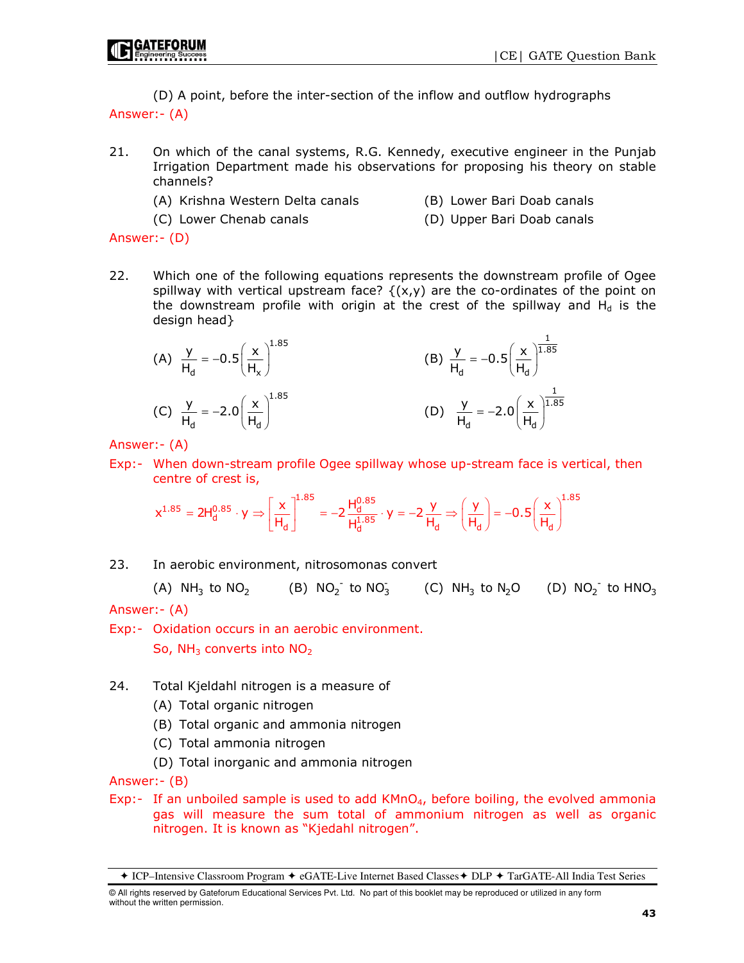(D) A point, before the inter-section of the inflow and outflow hydrographs Answer:- (A)

- 21. On which of the canal systems, R.G. Kennedy, executive engineer in the Punjab Irrigation Department made his observations for proposing his theory on stable channels?
	- (A) Krishna Western Delta canals (B) Lower Bari Doab canals
		-
	- (C) Lower Chenab canals (D) Upper Bari Doab canals
- 

Answer:- (D)

22. Which one of the following equations represents the downstream profile of Ogee spillway with vertical upstream face?  $\{(x,y)$  are the co-ordinates of the point on the downstream profile with origin at the crest of the spillway and  $H_d$  is the design head}

(A) 
$$
\frac{y}{H_d} = -0.5 \left(\frac{x}{H_x}\right)^{1.85}
$$
  
\n(B)  $\frac{y}{H_d} = -0.5 \left(\frac{x}{H_d}\right)^{1.85}$   
\n(C)  $\frac{y}{H_d} = -2.0 \left(\frac{x}{H_d}\right)^{1.85}$   
\n(D)  $\frac{y}{H_d} = -2.0 \left(\frac{x}{H_d}\right)^{1.85}$ 

Answer:- (A)

Exp:- When down-stream profile Ogee spillway whose up-stream face is vertical, then centre of crest is,

$$
x^{1.85}=2H_d^{0.85}\cdot y\Rightarrow \left[\frac{x}{H_d}\right]^{1.85}=-2\,\frac{H_d^{0.85}}{H_d^{1.85}}\cdot y=-2\,\frac{y}{H_d}\Rightarrow \left(\frac{y}{H_d}\right)=-0.5\!\left(\frac{x}{H_d}\right)^{\!1.85}
$$

23. In aerobic environment, nitrosomonas convert

(A) NH<sub>3</sub> to NO<sub>2</sub> (B) NO<sub>2</sub> to NO<sub>3</sub> (C) NH<sub>3</sub> to N<sub>2</sub>O (D) NO<sub>2</sub> to HNO<sub>3</sub> Answer:- (A)

Exp:- Oxidation occurs in an aerobic environment. So,  $NH<sub>3</sub>$  converts into  $NO<sub>2</sub>$ 

- 24. Total Kjeldahl nitrogen is a measure of
	- (A) Total organic nitrogen
	- (B) Total organic and ammonia nitrogen
	- (C) Total ammonia nitrogen
	- (D) Total inorganic and ammonia nitrogen

Answer:- (B)

Exp:- If an unboiled sample is used to add  $KMnO<sub>4</sub>$ , before boiling, the evolved ammonia gas will measure the sum total of ammonium nitrogen as well as organic nitrogen. It is known as "Kjedahl nitrogen".

ICP–Intensive Classroom Program eGATE-Live Internet Based Classes DLP TarGATE-All India Test Series

<sup>©</sup> All rights reserved by Gateforum Educational Services Pvt. Ltd. No part of this booklet may be reproduced or utilized in any form without the written permission.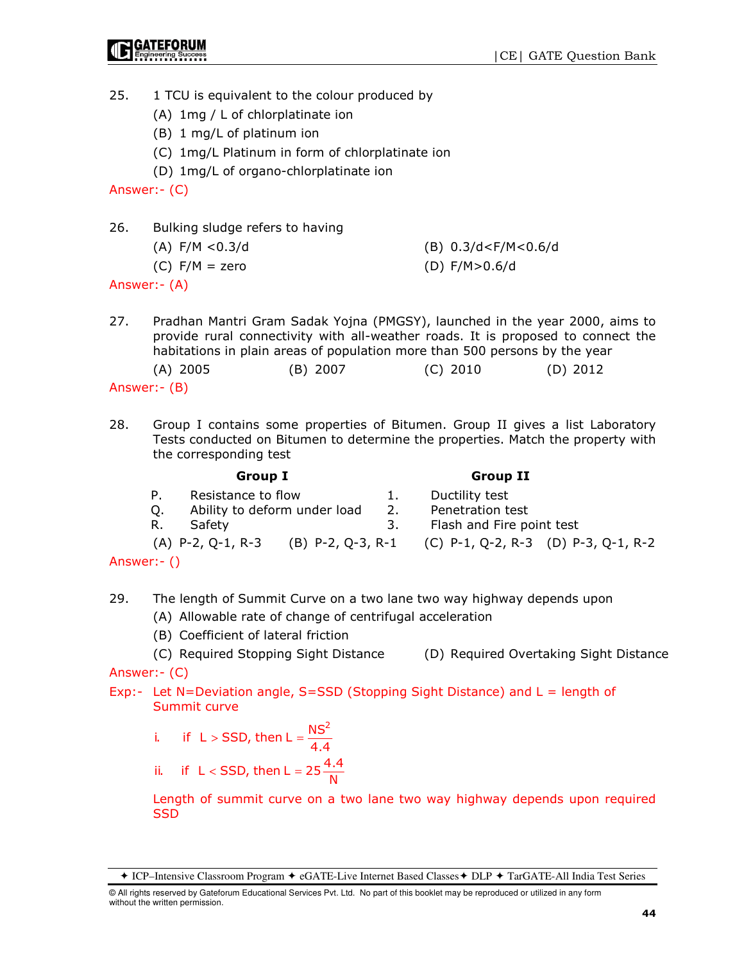- 25. 1 TCU is equivalent to the colour produced by
	- (A) 1mg / L of chlorplatinate ion
	- (B) 1 mg/L of platinum ion
	- (C) 1mg/L Platinum in form of chlorplatinate ion
	- (D) 1mg/L of organo-chlorplatinate ion

Answer:- (C)

- 26. Bulking sludge refers to having
	- (A) F/M <0.3/d (B) 0.3/d<F/M<0.6/d

(C)  $F/M = zero$  (D)  $F/M > 0.6/d$ 

Answer:- (A)

27. Pradhan Mantri Gram Sadak Yojna (PMGSY), launched in the year 2000, aims to provide rural connectivity with all-weather roads. It is proposed to connect the habitations in plain areas of population more than 500 persons by the year

(A) 2005 (B) 2007 (C) 2010 (D) 2012

- Answer:- (B)
- 28. Group I contains some properties of Bitumen. Group II gives a list Laboratory Tests conducted on Bitumen to determine the properties. Match the property with the corresponding test

|    | <b>Group I</b>               |    | <b>Group II</b>                                       |  |
|----|------------------------------|----|-------------------------------------------------------|--|
| P. | Resistance to flow           |    | Ductility test                                        |  |
| O. | Ability to deform under load | 2. | Penetration test                                      |  |
| R. | Safety                       | 3. | Flash and Fire point test                             |  |
|    | $(A)$ P-2, Q-1, R-3          |    | (B) P-2, Q-3, R-1 (C) P-1, Q-2, R-3 (D) P-3, Q-1, R-2 |  |

Answer:- ()

- 29. The length of Summit Curve on a two lane two way highway depends upon
	- (A) Allowable rate of change of centrifugal acceleration
	- (B) Coefficient of lateral friction

 (C) Required Stopping Sight Distance (D) Required Overtaking Sight Distance Answer:- (C)

- Exp:- Let N=Deviation angle,  $S = SSD$  (Stopping Sight Distance) and  $L = length of$ Summit curve
	- i. if  $L >$  SSD, then  $L = \frac{NS^2}{4.4}$
	- ii. if  $L <$  SSD, then L = 25  $\frac{4.4}{N}$

 Length of summit curve on a two lane two way highway depends upon required **SSD** 

ICP–Intensive Classroom Program eGATE-Live Internet Based Classes DLP TarGATE-All India Test Series

<sup>©</sup> All rights reserved by Gateforum Educational Services Pvt. Ltd. No part of this booklet may be reproduced or utilized in any form without the written permission.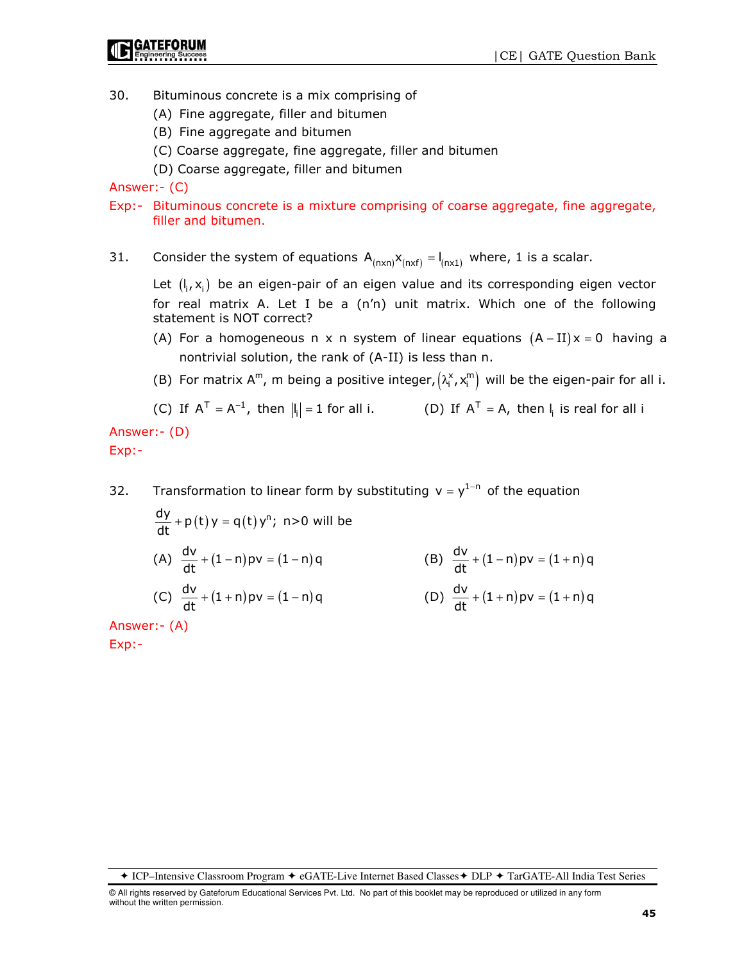- 30. Bituminous concrete is a mix comprising of
	- (A) Fine aggregate, filler and bitumen
	- (B) Fine aggregate and bitumen
	- (C) Coarse aggregate, fine aggregate, filler and bitumen
	- (D) Coarse aggregate, filler and bitumen

Answer:- (C)

- Exp:- Bituminous concrete is a mixture comprising of coarse aggregate, fine aggregate, filler and bitumen.
- 31. Consider the system of equations  $A_{(n \times n)} X_{(n \times f)} = I_{(n \times 1)}$  where, 1 is a scalar.

Let  $(I_i, x_i)$  be an eigen-pair of an eigen value and its corresponding eigen vector for real matrix A. Let I be a (n'n) unit matrix. Which one of the following statement is NOT correct?

- (A) For a homogeneous n x n system of linear equations  $(A II)x = 0$  having a nontrivial solution, the rank of (A-II) is less than n.
- (B) For matrix A<sup>m</sup>, m being a positive integer,  $(\lambda_i^x, x_i^m)$  will be the eigen-pair for all i.

(C) If 
$$
A^T = A^{-1}
$$
, then  $||_1 = 1$  for all i. (D) If  $A^T = A$ , then  $||_1$  is real for all i

Answer:- (D) Exp:-

32. Transformation to linear form by substituting  $v = y^{1-n}$  of the equation

$$
\frac{dy}{dt} + p(t)y = q(t)y^{n}; \quad n > 0 \text{ will be}
$$
\n(A) 
$$
\frac{dv}{dt} + (1-n)pv = (1-n)q
$$
\n(B) 
$$
\frac{dv}{dt} + (1-n)pv = (1+n)q
$$
\n(C) 
$$
\frac{dv}{dt} + (1+n)pv = (1-n)q
$$
\n(D) 
$$
\frac{dv}{dt} + (1+n)pv = (1+n)q
$$

Answer:- (A)

Exp:-

ICP–Intensive Classroom Program eGATE-Live Internet Based Classes DLP TarGATE-All India Test Series

<sup>©</sup> All rights reserved by Gateforum Educational Services Pvt. Ltd. No part of this booklet may be reproduced or utilized in any form without the written permission.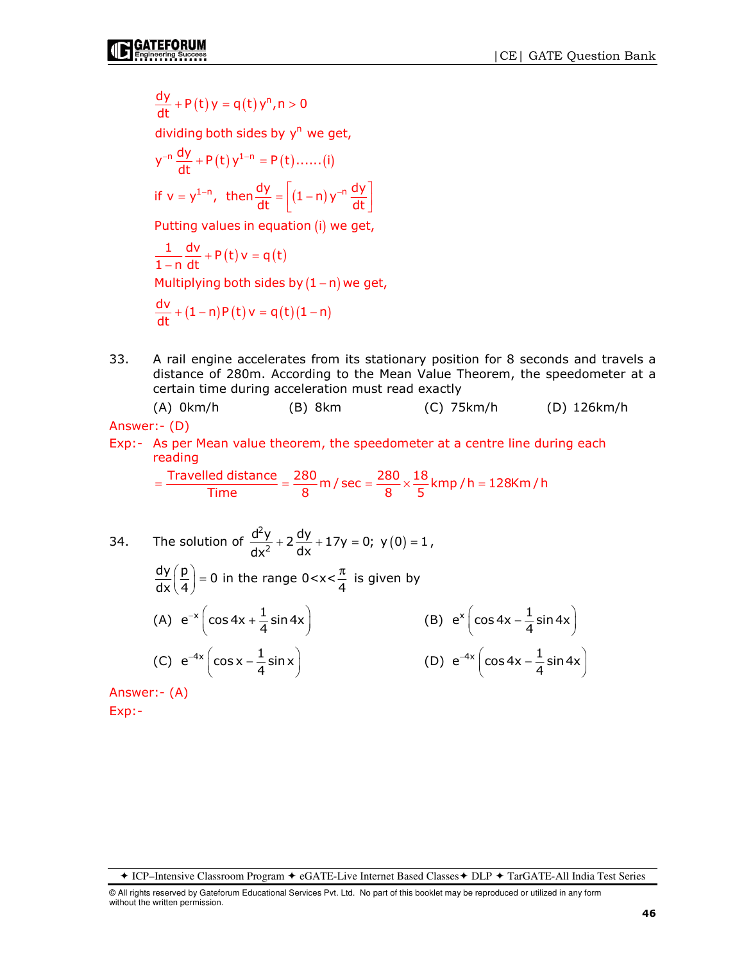$$
\frac{dy}{dt} + P(t)y = q(t)y^n, n > 0
$$

dividing both sides by y<sup>n</sup> we get,

$$
y^{-n} \frac{dy}{dt} + P(t) y^{1-n} = P(t) \dots (i)
$$
  
if  $v = y^{1-n}$ , then  $\frac{dy}{dt} = \left[ (1-n) y^{-n} \frac{dy}{dt} \right]$ 

Putting values in equation (i) we get,

$$
\frac{1}{1-n} \frac{dv}{dt} + P(t)v = q(t)
$$
  
Multiplying both sides by (1-n) we get,  

$$
\frac{dv}{dt} + (1-n)P(t)v = q(t)(1-n)
$$

33. A rail engine accelerates from its stationary position for 8 seconds and travels a distance of 280m. According to the Mean Value Theorem, the speedometer at a certain time during acceleration must read exactly

 (A) 0km/h (B) 8km (C) 75km/h (D) 126km/h Answer:- (D)

Exp:- As per Mean value theorem, the speedometer at a centre line during each reading

$$
= \frac{\text{Travelled distance}}{\text{Time}} = \frac{280}{8} \text{ m} / \text{sec} = \frac{280}{8} \times \frac{18}{5} \text{kmp} / \text{h} = 128 \text{km} / \text{h}
$$

34. The solution of 
$$
\frac{d^2y}{dx^2} + 2\frac{dy}{dx} + 17y = 0; y(0) = 1,
$$
  
\n
$$
\frac{dy}{dx} \left(\frac{p}{4}\right) = 0 \text{ in the range } 0 < x < \frac{\pi}{4} \text{ is given by}
$$
  
\n(A)  $e^{-x} \left(\cos 4x + \frac{1}{4} \sin 4x\right)$   
\n(B)  $e^x \left(\cos 4x - \frac{1}{4} \sin 4x\right)$   
\n(C)  $e^{-4x} \left(\cos x - \frac{1}{4} \sin x\right)$   
\n(D)  $e^{-4x} \left(\cos 4x - \frac{1}{4} \sin 4x\right)$ 

Answer:- (A) Exp:-

ICP–Intensive Classroom Program eGATE-Live Internet Based Classes DLP TarGATE-All India Test Series

<sup>©</sup> All rights reserved by Gateforum Educational Services Pvt. Ltd. No part of this booklet may be reproduced or utilized in any form without the written permission.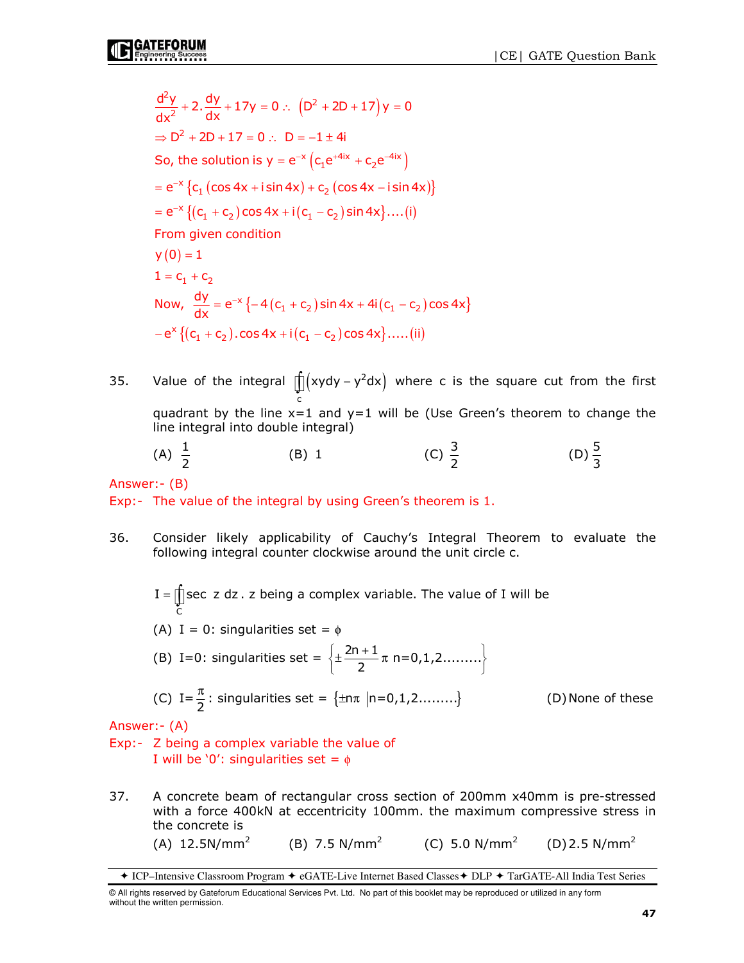$\frac{2y}{x^2}$  + 2.  $\frac{dy}{dx}$  + 17y = 0 :.  $(D^2 + 2D + 17)$ So, the solution is  $y = e^{-x} (c_1 e^{+4ix} + c_2 e^{-4ix})$  $= e^{-x} \{ c_1 (\cos 4x + i \sin 4x) + c_2 (\cos 4x - i \sin 4x) \}$  $= e^{-x} \{ (c_1 + c_2) \cos 4x + i (c_1 - c_2) \sin 4x \} \dots (i)$  $y(0) = 1$ Now,  $\frac{dy}{dx} = e^{-x} \{-4(c_1 + c_2)\sin(x)$  $\frac{d^2y}{dx^2}$  + 2.  $\frac{dy}{dx}$  + 17y = 0 :  $(D^2 + 2D + 17)y = 0$  $\Rightarrow$  D<sup>2</sup> + 2D + 17 = 0 : D = -1 ± 4i  $1 = c_1 + c_2$  $\frac{d^{2}y}{dx^{2}}$  + 2.  $\frac{dy}{dx}$  + 17y = 0 :.  $(D^{2} + 2D + 17)y =$ From given condition  $= e^{-x} \{-4(c_1 + c_2) \sin 4x + 4i(c_1 - c_2) \cos 4x\}$  $-e^x \{ (c_1 + c_2) \cdot \cos 4x + i (c_1 - c_2) \cos 4x \} \dots$ . (ii)

- 35. Value of the integral  $\int (xydy y^2dx)$  where c is the square cut from the first c quadrant by the line  $x=1$  and  $y=1$  will be (Use Green's theorem to change the line integral into double integral)
- (A)  $\frac{1}{2}$ (B) 1 (C)  $\frac{3}{2}$ (D)  $\frac{5}{3}$

Answer:- (B)

Exp:- The value of the integral by using Green's theorem is 1.

36. Consider likely applicability of Cauchy's Integral Theorem to evaluate the following integral counter clockwise around the unit circle c.

C I =  $\int$  sec z dz . z being a complex variable. The value of I will be (A) I = 0: singularities set =  $\phi$ (B) I=0: singularities set =  $\left\{\pm \frac{2n+1}{2} \pi n=0,1,2.\dots \dots \right\}$  $\left\{\pm \frac{2n+1}{2}\pi n=0,1,2......\right\}$ (C)  $I = \frac{\pi}{2}$  $\frac{\pi}{2}$ : singularities set =  $\{\pm n\pi |n=0,1,2..........\}$  (D) None of these

Answer:- (A)

Exp:- Z being a complex variable the value of I will be '0': singularities set =  $\phi$ 

37. A concrete beam of rectangular cross section of 200mm x40mm is pre-stressed with a force 400kN at eccentricity 100mm. the maximum compressive stress in the concrete is  $(A)$  12.5N/mm<sup>2</sup> (B) 7.5 N/mm<sup>2</sup> (C) 5.0 N/mm<sup>2</sup> (D) 2.5 N/mm<sup>2</sup>

ICP–Intensive Classroom Program eGATE-Live Internet Based Classes DLP TarGATE-All India Test Series

<sup>©</sup> All rights reserved by Gateforum Educational Services Pvt. Ltd. No part of this booklet may be reproduced or utilized in any form without the written permission.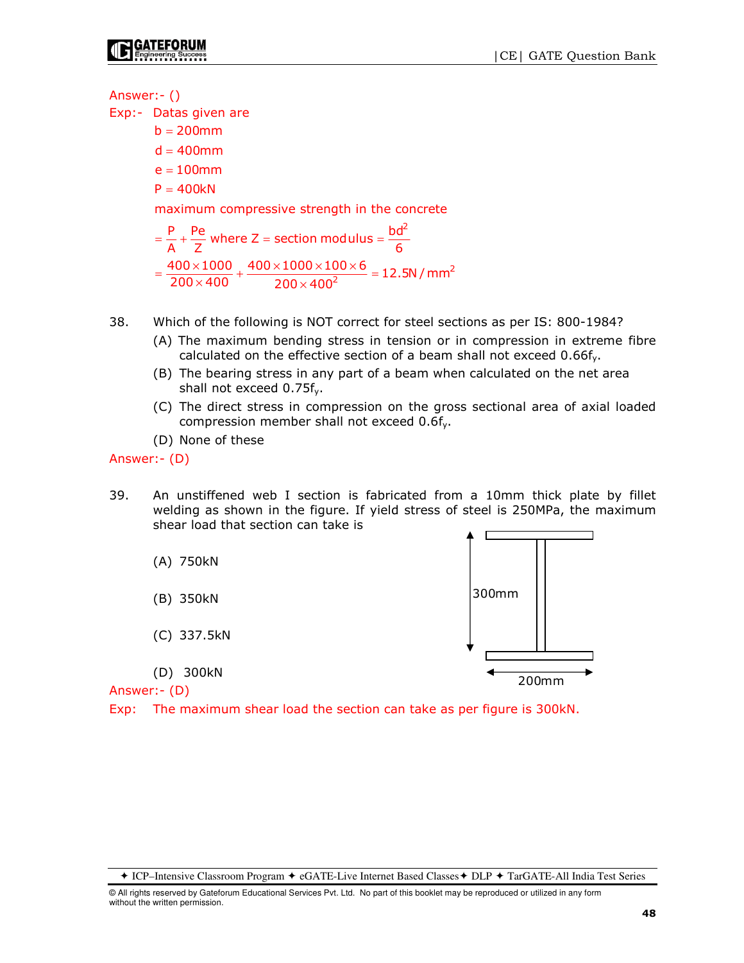Answer:- ()

Exp:- Datas given are

 $b = 200$ mm  $d = 400$ mm e = 100mm  $P = 400kN$ 

maximum compressive strength in the concrete

 $=\frac{P}{A} + \frac{Pe}{Z}$  where Z = section modulus =  $\frac{bd^2}{6}$ 2  $\frac{400\times1000}{200\times400} + \frac{400\times1000\times100\times6}{200\times400^{2}} = 12.5N/mm$  $200 \times 400$  200  $\times 400$  $=\frac{400\times1000}{200\times400}+\frac{400\times1000\times100\times6}{200\times400^2}=$ 

- 38. Which of the following is NOT correct for steel sections as per IS: 800-1984?
	- (A) The maximum bending stress in tension or in compression in extreme fibre calculated on the effective section of a beam shall not exceed  $0.66f<sub>v</sub>$ .
	- (B) The bearing stress in any part of a beam when calculated on the net area shall not exceed 0.75fy.
	- (C) The direct stress in compression on the gross sectional area of axial loaded compression member shall not exceed 0.6fy.
	- (D) None of these

Answer:- (D)

- 39. An unstiffened web I section is fabricated from a 10mm thick plate by fillet welding as shown in the figure. If yield stress of steel is 250MPa, the maximum shear load that section can take is
	- (A) 750kN
	- (B) 350kN
	- (C) 337.5kN
	- (D) 300kN

Answer:- (D)

Exp: The maximum shear load the section can take as per figure is 300kN.



ICP–Intensive Classroom Program eGATE-Live Internet Based Classes DLP TarGATE-All India Test Series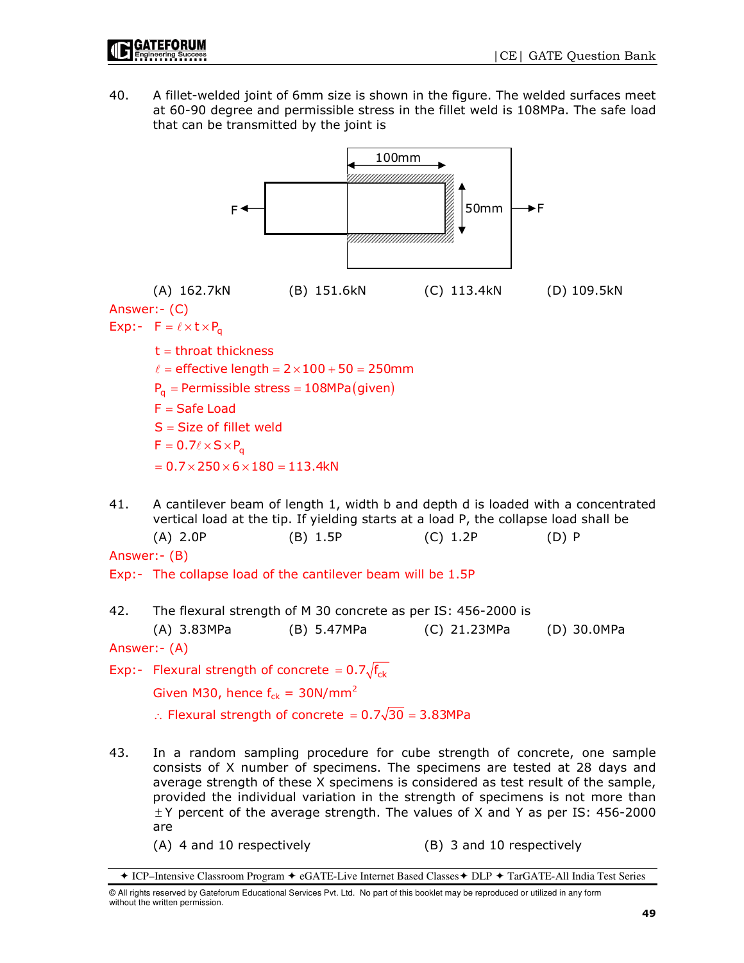40. A fillet-welded joint of 6mm size is shown in the figure. The welded surfaces meet at 60-90 degree and permissible stress in the fillet weld is 108MPa. The safe load that can be transmitted by the joint is



provided the individual variation in the strength of specimens is not more than  $\pm$ Y percent of the average strength. The values of X and Y as per IS: 456-2000 are

- 
- (A) 4 and 10 respectively (B) 3 and 10 respectively

<sup>+</sup> ICP–Intensive Classroom Program + eGATE-Live Internet Based Classes + DLP + TarGATE-All India Test Series

<sup>©</sup> All rights reserved by Gateforum Educational Services Pvt. Ltd. No part of this booklet may be reproduced or utilized in any form without the written permission.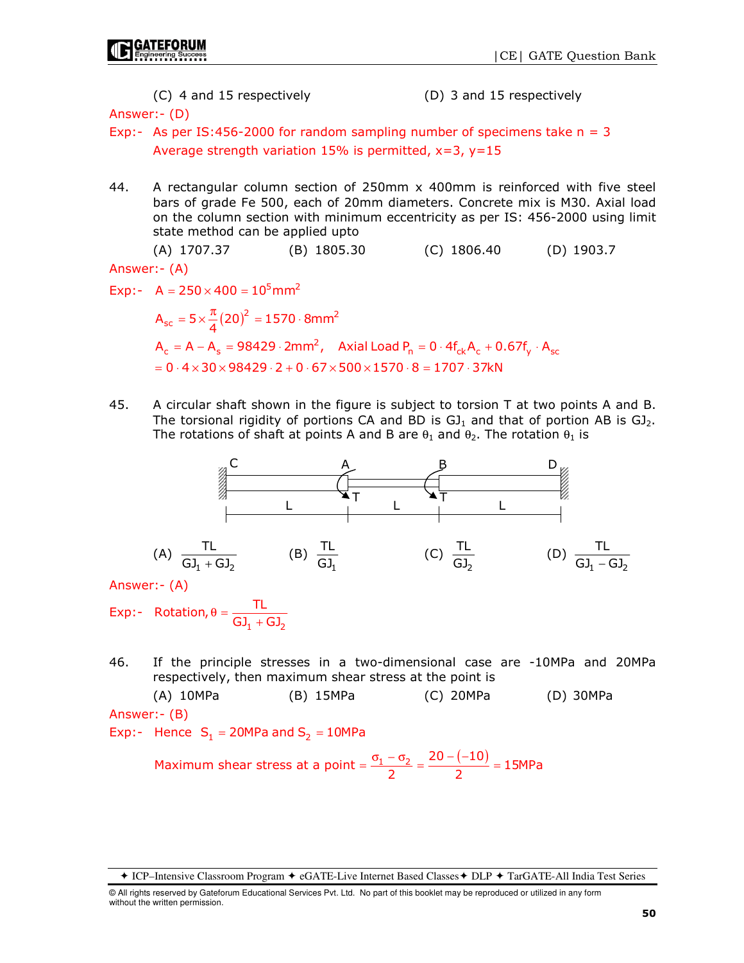(C) 4 and 15 respectively (D) 3 and 15 respectively

Answer:- (D)

- Exp:- As per IS:456-2000 for random sampling number of specimens take  $n = 3$ Average strength variation 15% is permitted,  $x=3$ ,  $y=15$
- 44. A rectangular column section of 250mm x 400mm is reinforced with five steel bars of grade Fe 500, each of 20mm diameters. Concrete mix is M30. Axial load on the column section with minimum eccentricity as per IS: 456-2000 using limit state method can be applied upto

 (A) 1707.37 (B) 1805.30 (C) 1806.40 (D) 1903.7 Answer:- (A)

Exp:-  $A = 250 \times 400 = 10^5$  mm<sup>2</sup>

 $A_{\rm sc} = 5 \times \frac{\pi}{4} (20)^2 = 1570 \cdot 8 \text{mm}^2$  ${\sf A}_{\sf c} = {\sf A}-{\sf A}_{\sf s} = 98429\cdot 2\textrm{mm}^2$ , Axial Load  ${\sf P}_{\sf n} = {\sf 0}\cdot 4{\sf f}_{\sf ck}{\sf A}_{\sf c} + {\sf 0.67}{\sf f}_{\sf y}\cdot{\sf A}_{\sf sc}$  $= 0 \cdot 4 \times 30 \times 98429 \cdot 2 + 0 \cdot 67 \times 500 \times 1570 \cdot 8 = 1707 \cdot 37 \text{kN}$  $= 5 \times \frac{\pi}{4} (20)^2 = 1570$ 

45. A circular shaft shown in the figure is subject to torsion T at two points A and B. The torsional rigidity of portions CA and BD is  $GI_1$  and that of portion AB is  $GI_2$ . The rotations of shaft at points A and B are  $\theta_1$  and  $\theta_2$ . The rotation  $\theta_1$  is



Exp:-  $_1$  עט $_2$  $\mathsf{Rotation}, \theta = \frac{\mathsf{TL}}{\mathsf{GJ}_1 + \mathsf{GJ}}$ 

46. If the principle stresses in a two-dimensional case are -10MPa and 20MPa respectively, then maximum shear stress at the point is

 (A) 10MPa (B) 15MPa (C) 20MPa (D) 30MPa Answer:- (B)

Exp:- Hence  $S_1 = 20MPa$  and  $S_2 = 10MPa$ 

Maximum shear stress at a point  $=$   $\frac{\sigma_1 - \sigma_2}{2} = \frac{20 - (-10)}{2} = 15MPa$  $=\frac{\sigma_1-\sigma_2}{2}=\frac{20-(-10)}{2}=$ 

ICP–Intensive Classroom Program eGATE-Live Internet Based Classes DLP TarGATE-All India Test Series

<sup>©</sup> All rights reserved by Gateforum Educational Services Pvt. Ltd. No part of this booklet may be reproduced or utilized in any form without the written permission.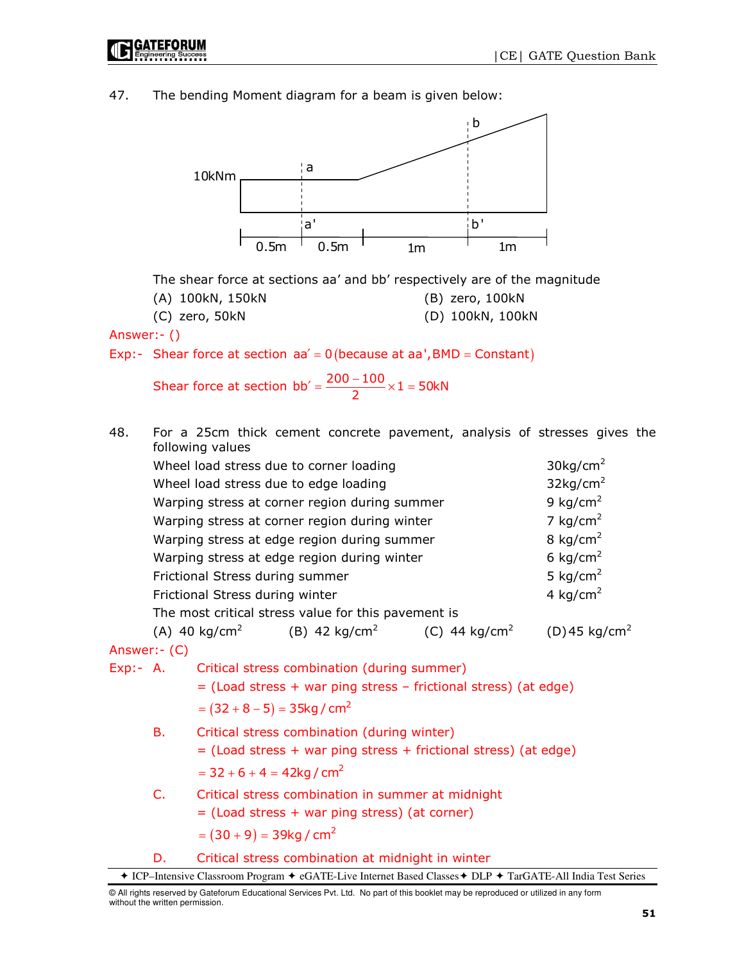

47. The bending Moment diagram for a beam is given below:



The shear force at sections aa' and bb' respectively are of the magnitude

(A) 100kN, 150kN (B) zero, 100kN

(C) zero, 50kN (D) 100kN, 100kN

Answer:- ()

Exp:- Shear force at section  $aa' = 0$  (because at aa', BMD = Constant)

Shear force at section  $bb' = \frac{200 - 100}{2} \times 1 = 50kN$  $\gamma = \frac{200 - 100}{2} \times 1 =$ 

48. For a 25cm thick cement concrete pavement, analysis of stresses gives the following values

|                                             | Wheel load stress due to corner loading             |                           | $30$ kg/cm <sup>2</sup>     |
|---------------------------------------------|-----------------------------------------------------|---------------------------|-----------------------------|
|                                             | Wheel load stress due to edge loading               |                           | $32$ kg/cm <sup>2</sup>     |
|                                             | Warping stress at corner region during summer       |                           | 9 kg/cm <sup>2</sup>        |
|                                             | Warping stress at corner region during winter       |                           | 7 kg/cm <sup>2</sup>        |
| Warping stress at edge region during summer | 8 kg/cm <sup>2</sup>                                |                           |                             |
| Warping stress at edge region during winter | 6 kg/cm <sup>2</sup>                                |                           |                             |
| Frictional Stress during summer             |                                                     |                           | 5 kg/cm <sup>2</sup>        |
| Frictional Stress during winter             | 4 kg/cm <sup>2</sup>                                |                           |                             |
|                                             | The most critical stress value for this pavement is |                           |                             |
| (A) 40 kg/cm $^{\rm 2}$                     | (B) 42 kg/cm <sup>2</sup>                           | (C) 44 kg/cm <sup>2</sup> | $(D)$ 45 kg/cm <sup>2</sup> |

Answer:- (C)

Exp:- A. Critical stress combination (during summer) = (Load stress + war ping stress – frictional stress) (at edge)  $=(32 + 8 - 5) = 35$ kg / cm<sup>2</sup> B. Critical stress combination (during winter) = (Load stress + war ping stress + frictional stress) (at edge)

 $= 32 + 6 + 4 = 42$ kg / cm<sup>2</sup>

- C. Critical stress combination in summer at midnight
	- = (Load stress + war ping stress) (at corner)

```
=(30+9)=39kg / cm^2
```
D. Critical stress combination at midnight in winter

<sup>◆</sup> ICP–Intensive Classroom Program ◆ eGATE-Live Internet Based Classes ◆ DLP ◆ TarGATE-All India Test Series

<sup>©</sup> All rights reserved by Gateforum Educational Services Pvt. Ltd. No part of this booklet may be reproduced or utilized in any form without the written permission.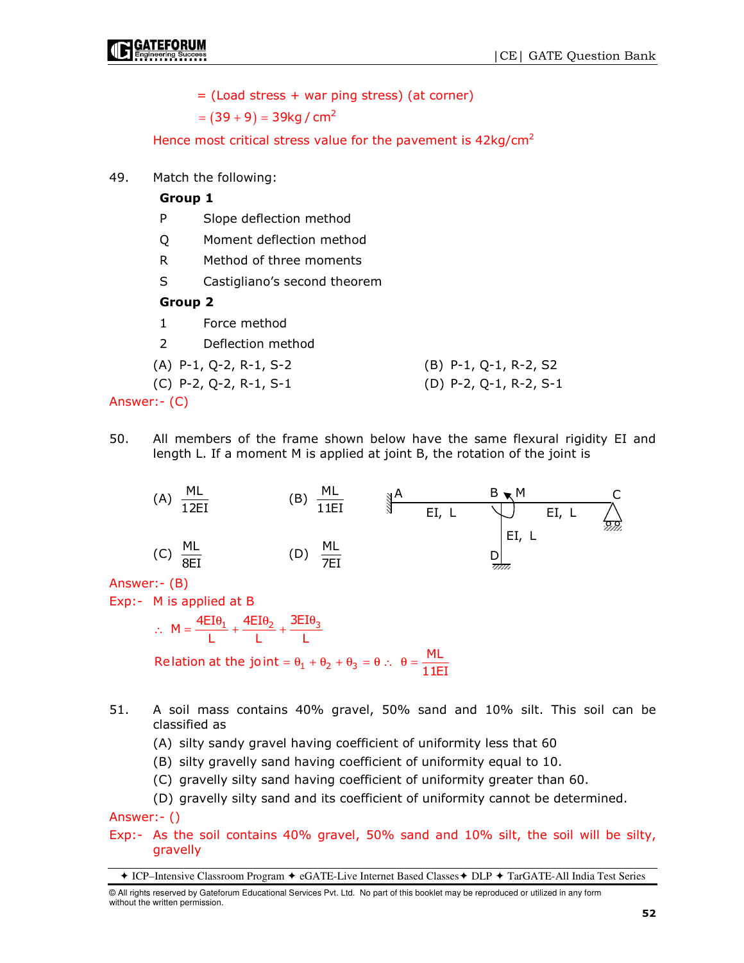= (Load stress + war ping stress) (at corner)

 $=(39+9)=39$ kg / cm $^2$ 

Hence most critical stress value for the pavement is  $42\text{kg/cm}^2$ 

49. Match the following:

### Group 1

- P Slope deflection method
- Q Moment deflection method
- R Method of three moments
- S Castigliano's second theorem

#### Group 2

- 1 Force method
- 2 Deflection method

(A) P-1, Q-2, R-1, S-2 (B) P-1, Q-1, R-2, S2

(C) P-2, Q-2, R-1, S-1 (D) P-2, Q-1, R-2, S-1

Answer:- (C)

50. All members of the frame shown below have the same flexural rigidity EI and length L. If a moment M is applied at joint B, the rotation of the joint is



Answer:- (B)

Exp:- M is applied at B

 $M = \frac{4EI\theta_1}{L} + \frac{4EI\theta_2}{L} + \frac{3EI\theta_3}{L}$ Relation at the joint =  $\theta_1 + \theta_2 + \theta_3 = \theta$  :  $\theta = \frac{ML}{11EI}$  $\therefore$  M =  $\frac{4EI\theta_1}{1} + \frac{4EI\theta_2}{1} + \frac{3EI\theta_1}{1}$ 

- 51. A soil mass contains 40% gravel, 50% sand and 10% silt. This soil can be classified as
	- (A) silty sandy gravel having coefficient of uniformity less that 60
	- (B) silty gravelly sand having coefficient of uniformity equal to 10.
	- (C) gravelly silty sand having coefficient of uniformity greater than 60.
	- (D) gravelly silty sand and its coefficient of uniformity cannot be determined.

Answer:- ()

Exp:- As the soil contains 40% gravel, 50% sand and 10% silt, the soil will be silty, gravelly

ICP–Intensive Classroom Program eGATE-Live Internet Based Classes DLP TarGATE-All India Test Series

<sup>©</sup> All rights reserved by Gateforum Educational Services Pvt. Ltd. No part of this booklet may be reproduced or utilized in any form without the written permission.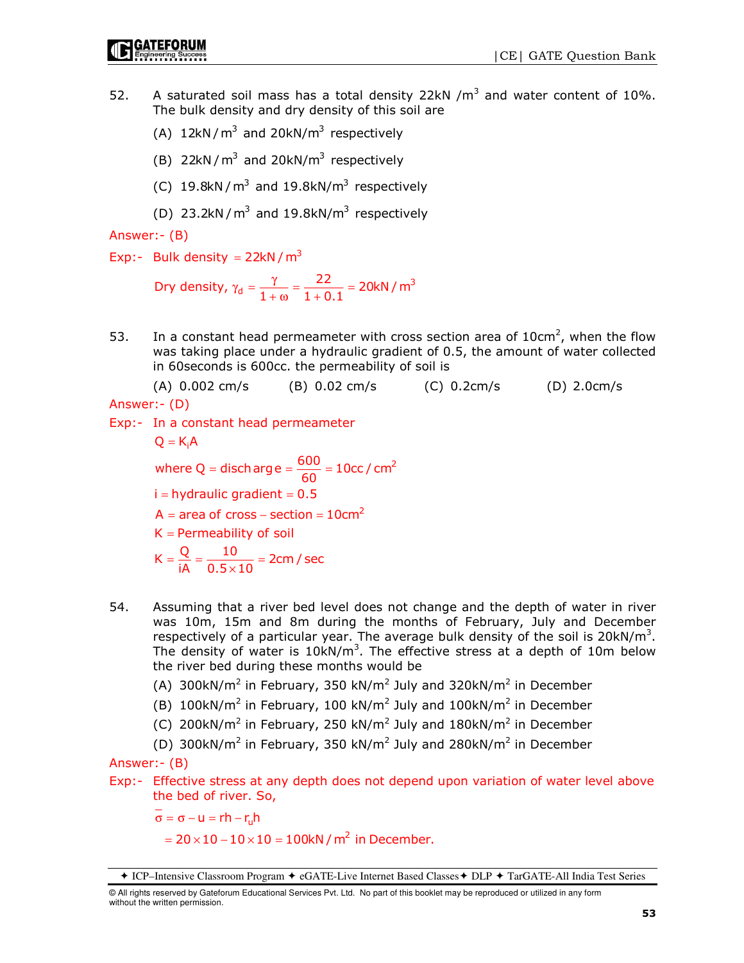- 52. A saturated soil mass has a total density 22kN  $/m<sup>3</sup>$  and water content of 10%. The bulk density and dry density of this soil are
	- (A)  $12kN/m^3$  and  $20kN/m^3$  respectively
	- (B)  $22kN/m^3$  and  $20kN/m^3$  respectively
	- (C) 19.8kN/ $m^3$  and 19.8kN/ $m^3$  respectively
	- (D)  $23.2$ kN/m<sup>3</sup> and  $19.8$ kN/m<sup>3</sup> respectively

Answer:- (B)

Exp:- Bulk density =  $22kN/m^3$ 

Dry density,  $\gamma_{d} = \frac{\gamma}{1 + \omega} = \frac{22}{1 + 0.1} = 20 \text{kN/m}^3$  $\gamma_{\rm d} = \frac{\gamma}{1 + \omega} = \frac{22}{1 + 0.1} =$ 

53. In a constant head permeameter with cross section area of  $10 \text{cm}^2$ , when the flow was taking place under a hydraulic gradient of 0.5, the amount of water collected in 60seconds is 600cc. the permeability of soil is

(A) 0.002 cm/s (B) 0.02 cm/s (C) 0.2cm/s (D) 2.0cm/s

Answer:- (D)

Exp:- In a constant head permeameter

$$
Q = K_i A
$$
  
where  $Q = \text{discharge} = \frac{600}{60} = 10 \text{cc / cm}^2$   
i = hydraulic gradient = 0.5  
A = area of cross - section = 10 cm<sup>2</sup>  
K = Permeability of soil  

$$
K = \frac{Q}{iA} = \frac{10}{0.5 \times 10} = 2 \text{cm / sec}
$$

- 54. Assuming that a river bed level does not change and the depth of water in river was 10m, 15m and 8m during the months of February, July and December respectively of a particular year. The average bulk density of the soil is  $20$ kN/m<sup>3</sup>. The density of water is  $10$ kN/m<sup>3</sup>. The effective stress at a depth of  $10$ m below the river bed during these months would be
- (A) 300kN/m<sup>2</sup> in February, 350 kN/m<sup>2</sup> July and 320kN/m<sup>2</sup> in December
- (B) 100kN/m<sup>2</sup> in February, 100 kN/m<sup>2</sup> July and 100kN/m<sup>2</sup> in December
- (C) 200kN/m<sup>2</sup> in February, 250 kN/m<sup>2</sup> July and 180kN/m<sup>2</sup> in December
- (D) 300kN/m<sup>2</sup> in February, 350 kN/m<sup>2</sup> July and 280kN/m<sup>2</sup> in December

Answer:- (B)

Exp:- Effective stress at any depth does not depend upon variation of water level above the bed of river. So,

 $\sigma = \sigma - u = rh - r_u h$ 

 $= 20 \times 10 - 10 \times 10 = 100$ kN / m<sup>2</sup> in December.

<sup>◆</sup> ICP–Intensive Classroom Program ◆ eGATE-Live Internet Based Classes ◆ DLP ◆ TarGATE-All India Test Series

<sup>©</sup> All rights reserved by Gateforum Educational Services Pvt. Ltd. No part of this booklet may be reproduced or utilized in any form without the written permission.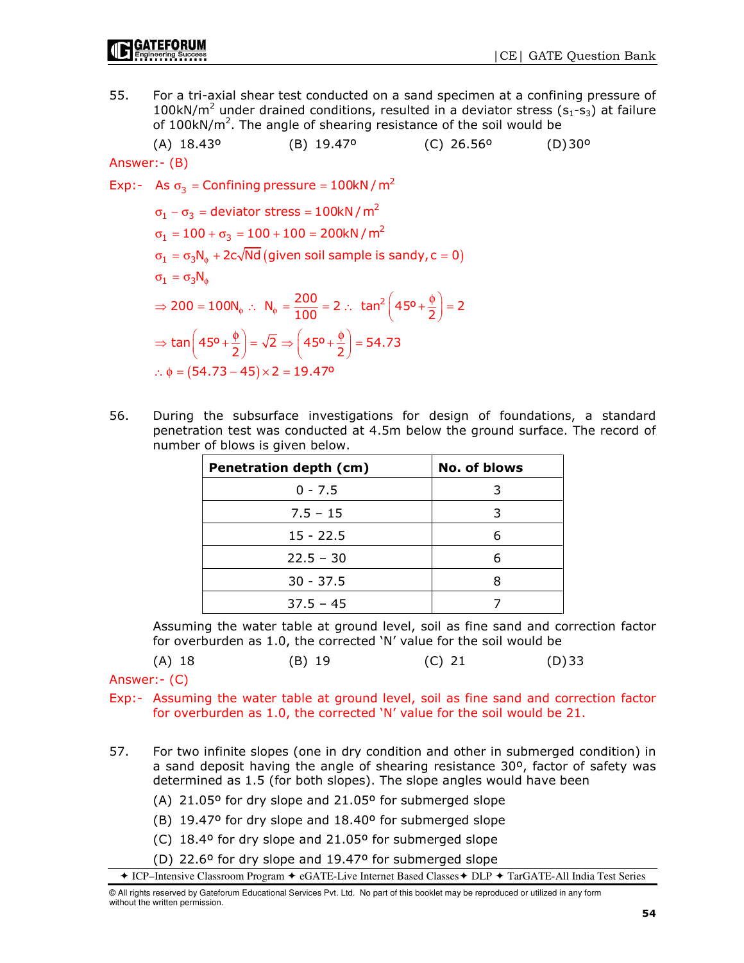55. For a tri-axial shear test conducted on a sand specimen at a confining pressure of 100kN/ $m^2$  under drained conditions, resulted in a deviator stress ( $s_1$ - $s_3$ ) at failure of 100kN/ $m^2$ . The angle of shearing resistance of the soil would be

(A) 18.43º (B) 19.47º (C) 26.56º (D) 30º

Answer:- (B)

Exp:- As  $\sigma_3$  = Confining pressure = 100kN / m<sup>2</sup>

 $\sigma_1 = \sigma_3 N_\phi + 2c\sqrt{Nd}$  (given soil sample is sandy,  $c = 0$ ) ∴  $\phi = (54.73 - 45) \times 2 = 19.47$ <sup>o</sup>  $\sigma_1-\sigma_3=$  deviator stress = 100kN /  $m^2$  $\sigma^{}_1 = 100 + \sigma^{}_3 = 100 + 100 = 200$ kN / m $^2$  $\sigma^{}_{1} = \sigma^{}_{3}$ Ν $^{}_{\phi}$ ⇒ 200 = 100N<sub>o</sub> ∴ N<sub>o</sub> =  $\frac{200}{100}$  = 2 ∴ tan<sup>2</sup>  $\left(45^{\circ} + \frac{\phi}{2}\right)$  = 2  $\Rightarrow \tan \left(45^{\circ}+\frac{\phi}{2}\right)=\sqrt{2} \Rightarrow \left(45^{\circ}+\frac{\phi}{2}\right)=54.73$ 

56. During the subsurface investigations for design of foundations, a standard penetration test was conducted at 4.5m below the ground surface. The record of number of blows is given below.

| Penetration depth (cm) | No. of blows |
|------------------------|--------------|
| $0 - 7.5$              |              |
| $7.5 - 15$             |              |
| $15 - 22.5$            |              |
| $22.5 - 30$            |              |
| $30 - 37.5$            |              |
| $37.5 - 45$            |              |

 Assuming the water table at ground level, soil as fine sand and correction factor for overburden as 1.0, the corrected 'N' value for the soil would be

Answer:- (C)

Exp:- Assuming the water table at ground level, soil as fine sand and correction factor for overburden as 1.0, the corrected 'N' value for the soil would be 21.

- 57. For two infinite slopes (one in dry condition and other in submerged condition) in a sand deposit having the angle of shearing resistance 30º, factor of safety was determined as 1.5 (for both slopes). The slope angles would have been
	- (A) 21.05º for dry slope and 21.05º for submerged slope
	- (B) 19.47º for dry slope and 18.40º for submerged slope
	- (C) 18.4º for dry slope and 21.05º for submerged slope
	- (D) 22.6º for dry slope and 19.47º for submerged slope

◆ ICP–Intensive Classroom Program ◆ eGATE-Live Internet Based Classes ◆ DLP ◆ TarGATE-All India Test Series

© All rights reserved by Gateforum Educational Services Pvt. Ltd. No part of this booklet may be reproduced or utilized in any form without the written permission.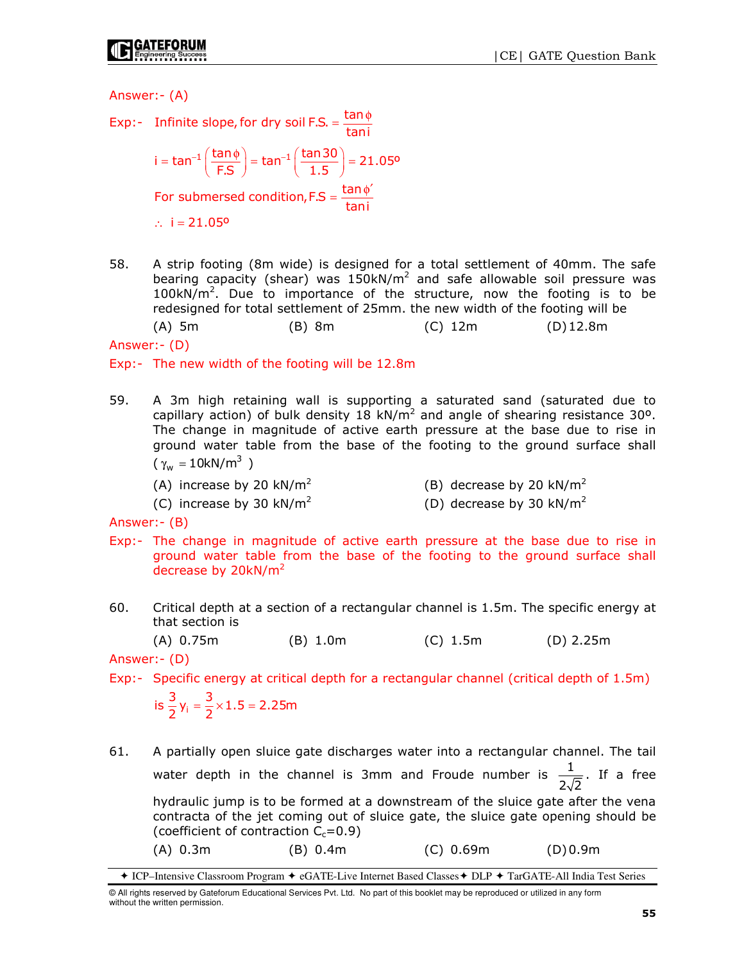Answer:- (A)

- Exp:- Infinite slope, for dry soil F.S. =  $\frac{\tan \phi}{\tan \theta}$  $=\frac{\tan \phi}{\sqrt{2}}$  $i = \tan^{-1} \left( \frac{\tan \phi}{\mathsf{F.S}} \right) = \tan^{-1} \left( \frac{\tan 30}{1.5} \right) = 21.05^{\circ}$ For submersed condition, F.S =  $\frac{\tan \phi}{\tan i}$ ∴ i =  $21.05$ <sup>o</sup>  $=\tan^{-1}\left(\frac{\tan\phi}{\mathsf{F.S}}\right)=\tan^{-1}\left(\frac{\tan 30}{1.5}\right)=$  $=\frac{\tan \phi'}{2}$
- 58. A strip footing (8m wide) is designed for a total settlement of 40mm. The safe bearing capacity (shear) was  $150$ kN/m<sup>2</sup> and safe allowable soil pressure was  $100kN/m<sup>2</sup>$ . Due to importance of the structure, now the footing is to be redesigned for total settlement of 25mm. the new width of the footing will be

(A) 5m (B) 8m (C) 12m (D) 12.8m

Answer:- (D)

Exp:- The new width of the footing will be 12.8m

- 59. A 3m high retaining wall is supporting a saturated sand (saturated due to capillary action) of bulk density 18 kN/m<sup>2</sup> and angle of shearing resistance 30°. The change in magnitude of active earth pressure at the base due to rise in ground water table from the base of the footing to the ground surface shall ( $γ_w = 10kN/m^3$ )
	- (A) increase by 20  $kN/m^2$ (B) decrease by 20  $kN/m^2$
	- (C) increase by 30 kN/m<sup>2</sup> (D) decrease by 30 kN/m<sup>2</sup>

Answer:- (B)

- Exp:- The change in magnitude of active earth pressure at the base due to rise in ground water table from the base of the footing to the ground surface shall decrease by 20kN/m<sup>2</sup>
- 60. Critical depth at a section of a rectangular channel is 1.5m. The specific energy at that section is

(A) 0.75m (B) 1.0m (C) 1.5m (D) 2.25m

Answer:- (D)

Exp:- Specific energy at critical depth for a rectangular channel (critical depth of 1.5m)

is  $\frac{3}{2}y_i = \frac{3}{2} \times 1.5 = 2.25$ m

61. A partially open sluice gate discharges water into a rectangular channel. The tail water depth in the channel is 3mm and Froude number is  $\frac{1}{1}$  $2\sqrt{2}$ . If a free hydraulic jump is to be formed at a downstream of the sluice gate after the vena contracta of the jet coming out of sluice gate, the sluice gate opening should be (coefficient of contraction  $C_c = 0.9$ ) (A) 0.3m (B) 0.4m (C) 0.69m (D) 0.9m

ICP–Intensive Classroom Program eGATE-Live Internet Based Classes DLP TarGATE-All India Test Series

<sup>©</sup> All rights reserved by Gateforum Educational Services Pvt. Ltd. No part of this booklet may be reproduced or utilized in any form without the written permission.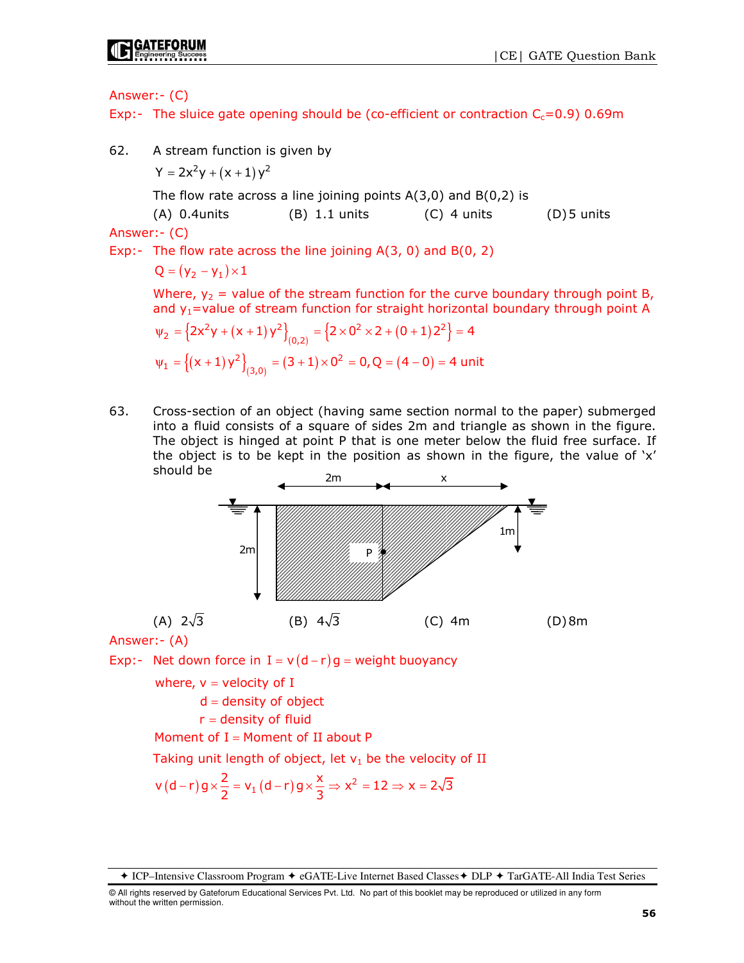## Answer:- (C)

Exp:- The sluice gate opening should be (co-efficient or contraction  $C_c=0.9$ ) 0.69m

62. A stream function is given by

$$
Y=2x^{2}y+\left( x+1\right) y^{2}
$$

The flow rate across a line joining points  $A(3,0)$  and  $B(0,2)$  is

(A)  $0.4$ units (B)  $1.1$  units (C)  $4$  units (D) 5 units Answer:- (C)

Exp:- The flow rate across the line joining  $A(3, 0)$  and  $B(0, 2)$ 

$$
Q = (\gamma_2 - \gamma_1) \times 1
$$

Where,  $y_2$  = value of the stream function for the curve boundary through point B, and  $y_1$  = value of stream function for straight horizontal boundary through point A

$$
\psi_2 = \left\{ 2x^2y + (x+1)y^2 \right\}_{(0,2)} = \left\{ 2 \times 0^2 \times 2 + (0+1)2^2 \right\} = 4
$$
  

$$
\psi_1 = \left\{ (x+1)y^2 \right\}_{(3,0)} = (3+1) \times 0^2 = 0, Q = (4-0) = 4 \text{ unit}
$$

63. Cross-section of an object (having same section normal to the paper) submerged into a fluid consists of a square of sides 2m and triangle as shown in the figure. The object is hinged at point P that is one meter below the fluid free surface. If the object is to be kept in the position as shown in the figure, the value of  $x'$ should be



Answer:- (A)

Exp:- Net down force in I =  $v(d - r)g$  = weight buoyancy

where,  $v =$  velocity of I

 $d =$  density of object

 $r =$  density of fluid

Moment of  $I =$  Moment of II about P

Taking unit length of object, let  $v_1$  be the velocity of II

$$
v\left(d-r\right)g \times \frac{2}{2} = v_1\left(d-r\right)g \times \frac{x}{3} \Rightarrow x^2 = 12 \Rightarrow x = 2\sqrt{3}
$$

◆ ICP–Intensive Classroom Program ◆ eGATE-Live Internet Based Classes ◆ DLP ◆ TarGATE-All India Test Series

© All rights reserved by Gateforum Educational Services Pvt. Ltd. No part of this booklet may be reproduced or utilized in any form without the written permission.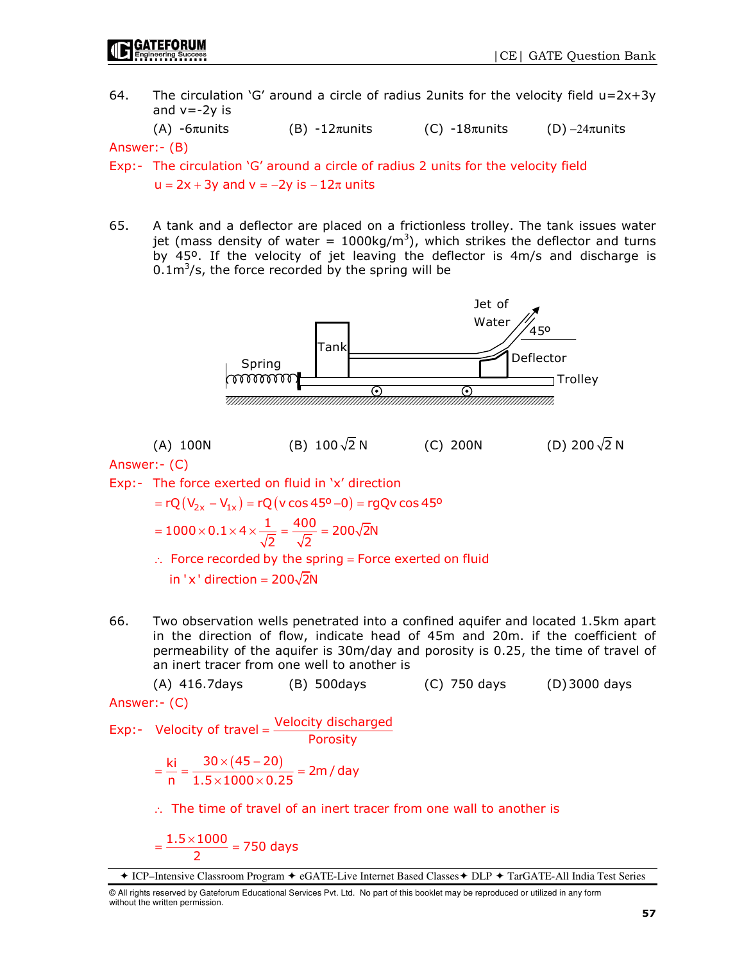64. The circulation 'G' around a circle of radius 2units for the velocity field  $u=2x+3y$ and  $v = -2y$  is

(A)  $-6\pi$ units (B)  $-12\pi$ units (C)  $-18\pi$ units (D)  $-24\pi$ units

Answer:- (B)

- Exp:- The circulation 'G' around a circle of radius 2 units for the velocity field  $u = 2x + 3y$  and  $v = -2y$  is  $-12\pi$  units
- 65. A tank and a deflector are placed on a frictionless trolley. The tank issues water jet (mass density of water =  $1000 \text{kg/m}^3$ ), which strikes the deflector and turns by 45º. If the velocity of jet leaving the deflector is 4m/s and discharge is  $0.1 \text{m}^3/\text{s}$ , the force recorded by the spring will be



Answer:- (C)

Exp:- The force exerted on fluid in 'x' direction

= rQ  $(V_{2x} - V_{1x})$  = rQ  $(v \cos 45^{\circ} - 0)$  = rgQv cos 45°

$$
=1000\times 0.1\times 4\times \frac{1}{\sqrt{2}}=\frac{400}{\sqrt{2}}=200\sqrt{2}N
$$

 $\therefore$  Force recorded by the spring = Force exerted on fluid in 'x' direction =  $200\sqrt{2N}$ 

66. Two observation wells penetrated into a confined aquifer and located 1.5km apart in the direction of flow, indicate head of 45m and 20m. if the coefficient of permeability of the aquifer is 30m/day and porosity is 0.25, the time of travel of an inert tracer from one well to another is

 (A) 416.7days (B) 500days (C) 750 days (D) 3000 days Answer:- (C)

Exp:- Velocity of travel Velocity discharged

or travel = 
$$
\frac{1}{1 + \frac{1}{1 + \frac{1}{1 + \frac{1}{1 + \frac{1}{1 + \frac{1}{1 + \frac{1}{1 + \frac{1}{1 + \frac{1}{1 + \frac{1}{1 + \frac{1}{1 + \frac{1}{1 + \frac{1}{1 + \frac{1}{1 + \frac{1}{1 + \frac{1}{1 + \frac{1}{1 + \frac{1}{1 + \frac{1}{1 + \frac{1}{1 + \frac{1}{1 + \frac{1}{1 + \frac{1}{1 + \frac{1}{1 + \frac{1}{1 + \frac{1}{1 + \frac{1}{1 + \frac{1}{1 + \frac{1}{1 + \frac{1}{1 + \frac{1}{1 + \frac{1}{1 + \frac{1}{1 + \frac{1}{1 + \frac{1}{1 + \frac{1}{1 + \frac{1}{1 + \frac{1}{1 + \frac{1}{1 + \frac{1}{1 + \frac{1}{1 + \frac{1}{1 + \frac{1}{1 + \frac{1}{1 + \frac{1}{1 + \frac{1}{1 + \frac{1}{1 + \frac{1}{1 + \frac{1}{1 + \frac{1}{1 + \frac{1}{1 + \frac{1}{1 + \frac{1}{1 + \frac{1}{1 + \frac{1}{1 + \frac{1}{1 + \frac{1}{1 + \frac{1}{1 + \frac{1}{1 + \frac{1}{1 + \frac{1}{1 + \frac{1}{1 + \frac{1}{1 + \frac{1}{1 + \frac{1}{1 + \frac{1}{1 + \frac{1}{1 + \frac{1}{1 + \frac{1}{1 + \frac{1}{1 + \frac{1}{1 + \frac{1}{1 + \frac{1}{1 + \frac{1}{1 + \frac{1}{1 + \frac{1}{1 + \frac{1}{1 + \frac{1}{1 + \frac{1}{1 + \frac{1}{1 + \frac{1}{1 + \frac{1}{1 + \frac{1}{1 + \frac{1}{1 + \frac{1}{1 + \frac{1}{1 + \frac{1}{1 + \frac{1}{1 + \frac{1}{1 + \frac{1}{1 + \frac{1}{1 + \frac{1}{1 + \frac{1}{1 + \frac{1}{1 + \frac{1}{1 + \frac{1}{1 + \frac{1}{1 + \frac{1}{1 + \frac{1}{1 + \frac{1}{1 + \frac{1}{1 + \frac{1}{1 + \frac{1}{1 + \frac{1}{1 + \frac{1}{1 + \frac{1}{1 + \frac{1}{1 + \frac{1}{1 + \
$$

$$
= \frac{ki}{n} = \frac{30 \times (45 - 20)}{1.5 \times 1000 \times 0.25} = 2m / day
$$

∴ The time of travel of an inert tracer from one wall to another is

$$
=\frac{1.5\times1000}{2}=750 \text{ days}
$$

ICP–Intensive Classroom Program eGATE-Live Internet Based Classes DLP TarGATE-All India Test Series

<sup>©</sup> All rights reserved by Gateforum Educational Services Pvt. Ltd. No part of this booklet may be reproduced or utilized in any form without the written permission.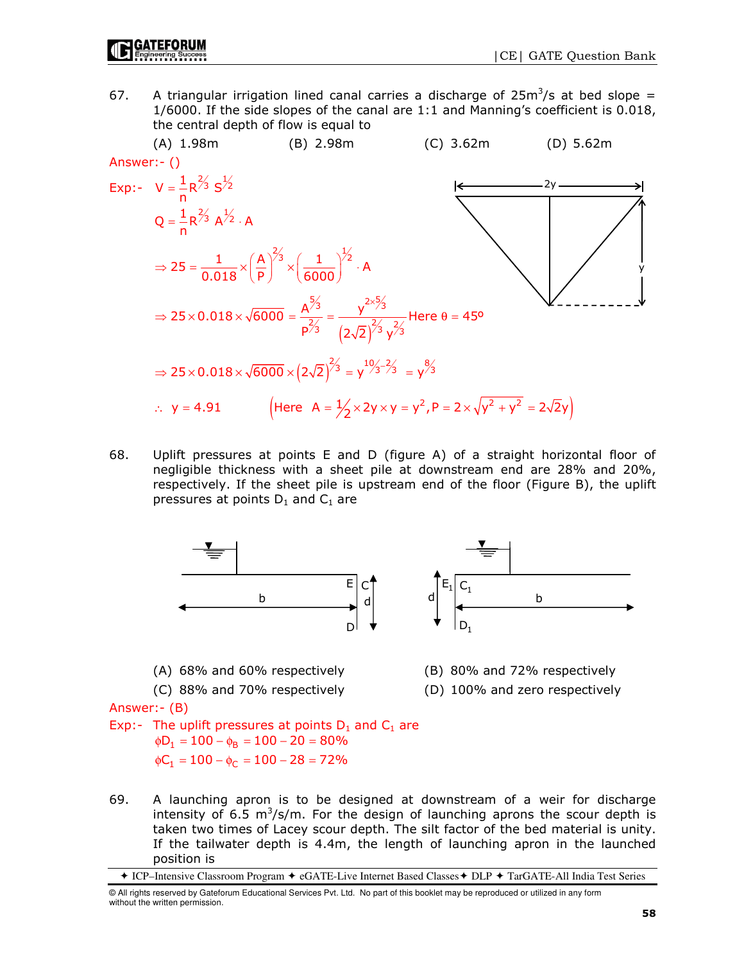67. A triangular irrigation lined canal carries a discharge of  $25m^3/s$  at bed slope = 1/6000. If the side slopes of the canal are 1:1 and Manning's coefficient is 0.018, the central depth of flow is equal to



68. Uplift pressures at points E and D (figure A) of a straight horizontal floor of negligible thickness with a sheet pile at downstream end are 28% and 20%, respectively. If the sheet pile is upstream end of the floor (Figure B), the uplift pressures at points  $D_1$  and  $C_1$  are



69. A launching apron is to be designed at downstream of a weir for discharge intensity of 6.5  $m^3/s/m$ . For the design of launching aprons the scour depth is taken two times of Lacey scour depth. The silt factor of the bed material is unity. If the tailwater depth is 4.4m, the length of launching apron in the launched position is

<sup>◆</sup> ICP–Intensive Classroom Program ◆ eGATE-Live Internet Based Classes ◆ DLP ◆ TarGATE-All India Test Series

<sup>©</sup> All rights reserved by Gateforum Educational Services Pvt. Ltd. No part of this booklet may be reproduced or utilized in any form without the written permission.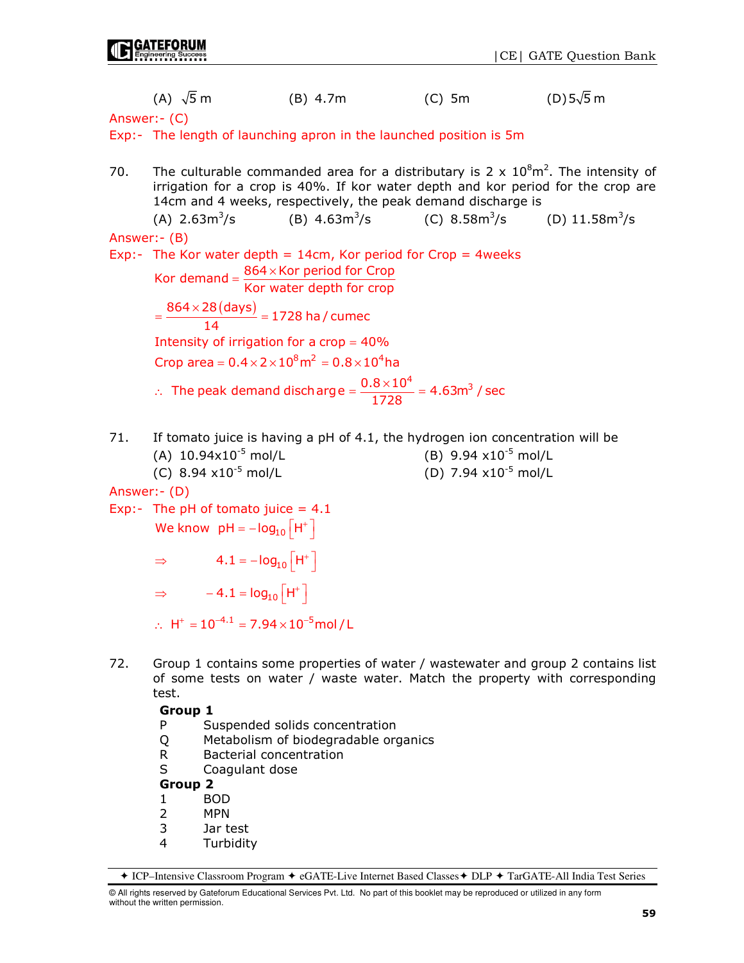|               | (A) $\sqrt{5}$ m                                                                             | $(B)$ 4.7m                                                                                                                                       | $(C)$ 5m                        | $(D)$ 5 $\sqrt{5}$ m |  |  |  |  |
|---------------|----------------------------------------------------------------------------------------------|--------------------------------------------------------------------------------------------------------------------------------------------------|---------------------------------|----------------------|--|--|--|--|
| Answer: (C)   |                                                                                              |                                                                                                                                                  |                                 |                      |  |  |  |  |
|               |                                                                                              | Exp:- The length of launching apron in the launched position is 5m                                                                               |                                 |                      |  |  |  |  |
| 70.           |                                                                                              | The culturable commanded area for a distributary is 2 x $10^8$ m <sup>2</sup> . The intensity of                                                 |                                 |                      |  |  |  |  |
|               |                                                                                              | irrigation for a crop is 40%. If kor water depth and kor period for the crop are<br>14cm and 4 weeks, respectively, the peak demand discharge is |                                 |                      |  |  |  |  |
|               |                                                                                              | (A) $2.63 \text{m}^3/\text{s}$ (B) $4.63 \text{m}^3/\text{s}$ (C) $8.58 \text{m}^3/\text{s}$ (D) $11.58 \text{m}^3/\text{s}$                     |                                 |                      |  |  |  |  |
| Answer: - (B) |                                                                                              |                                                                                                                                                  |                                 |                      |  |  |  |  |
|               |                                                                                              | Exp:- The Kor water depth = $14cm$ , Kor period for Crop = $4$ weeks                                                                             |                                 |                      |  |  |  |  |
|               | Kor demand = $\frac{864 \times \text{Kor period for Crop}}{\text{Kor water depth for crop}}$ |                                                                                                                                                  |                                 |                      |  |  |  |  |
|               | $=\frac{864\times28 \, \text{(days)}}{14} = 1728 \text{ ha / cumec}$                         |                                                                                                                                                  |                                 |                      |  |  |  |  |
|               | Intensity of irrigation for a crop = $40\%$                                                  |                                                                                                                                                  |                                 |                      |  |  |  |  |
|               | Crop area = $0.4 \times 2 \times 10^8$ m <sup>2</sup> = $0.8 \times 10^4$ ha                 |                                                                                                                                                  |                                 |                      |  |  |  |  |
|               |                                                                                              | $\therefore$ The peak demand discharge = $\frac{0.8 \times 10^4}{1728}$ = 4.63m <sup>3</sup> / sec                                               |                                 |                      |  |  |  |  |
| 71.           |                                                                                              | If tomato juice is having a pH of 4.1, the hydrogen ion concentration will be                                                                    |                                 |                      |  |  |  |  |
|               | (A) $10.94 \times 10^{-5}$ mol/L                                                             |                                                                                                                                                  | (B) 9.94 $\times 10^{-5}$ mol/L |                      |  |  |  |  |
|               | (C) 8.94 $\times 10^{-5}$ mol/L                                                              |                                                                                                                                                  | (D) 7.94 $\times 10^{-5}$ mol/L |                      |  |  |  |  |
|               | Answer: - (D)                                                                                |                                                                                                                                                  |                                 |                      |  |  |  |  |
|               | Exp:- The pH of tomato juice = $4.1$                                                         |                                                                                                                                                  |                                 |                      |  |  |  |  |
|               | We know $pH = -log_{10}[H^+]$                                                                |                                                                                                                                                  |                                 |                      |  |  |  |  |
|               | $\Rightarrow$ 4.1 = - $log_{10}[H^+]$                                                        |                                                                                                                                                  |                                 |                      |  |  |  |  |
|               | $\Rightarrow$ -4.1 = $log_{10}[H^+]$                                                         |                                                                                                                                                  |                                 |                      |  |  |  |  |

Q Metabolism of biodegradable organics

P Suspended solids concentration

∴ H<sup>+</sup> =  $10^{-4.1}$  = 7.94 ×  $10^{-5}$ mol / L

R Bacterial concentration<br>S Coagulant dose Coagulant dose

Group 2

Group 1

test.

GATEFORUM

- 1 BOD
- 2 MPN
- 3 Jar test
- **Turbidity**

72. Group 1 contains some properties of water / wastewater and group 2 contains list

of some tests on water / waste water. Match the property with corresponding

© All rights reserved by Gateforum Educational Services Pvt. Ltd. No part of this booklet may be reproduced or utilized in any form without the written permission.

<sup>◆</sup> ICP–Intensive Classroom Program ◆ eGATE-Live Internet Based Classes ◆ DLP ◆ TarGATE-All India Test Series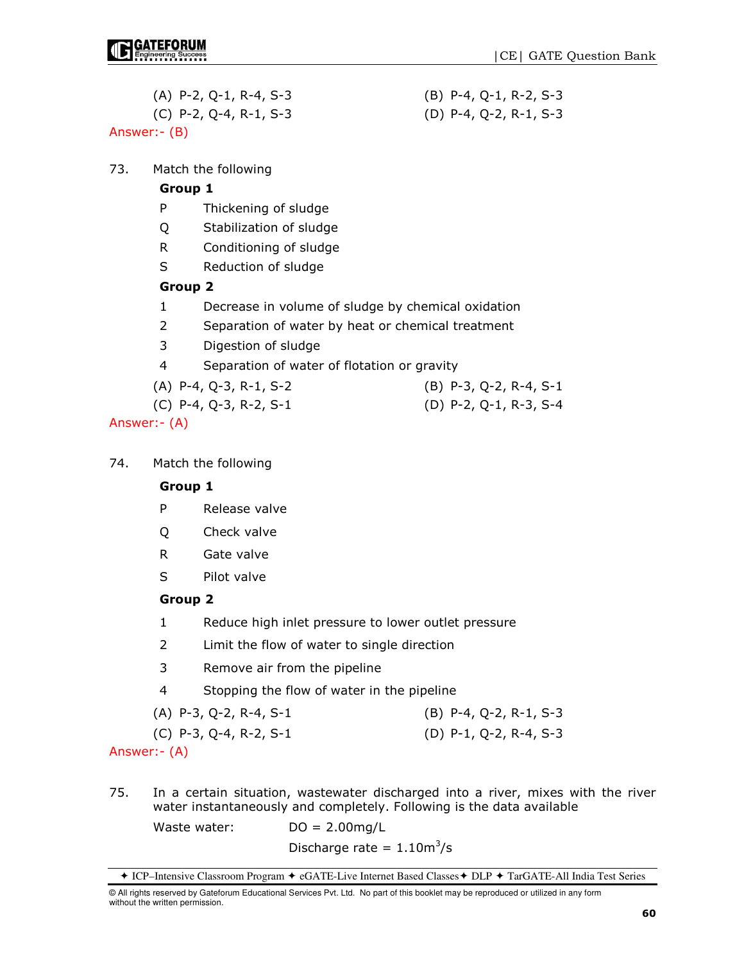- (A) P-2, Q-1, R-4, S-3 (B) P-4, Q-1, R-2, S-3
- (C) P-2, Q-4, R-1, S-3 (D) P-4, Q-2, R-1, S-3

## Answer:- (B)

73. Match the following

## Group 1

- P Thickening of sludge
- Q Stabilization of sludge
- R Conditioning of sludge
- S Reduction of sludge

## Group 2

- 1 Decrease in volume of sludge by chemical oxidation
- 2 Separation of water by heat or chemical treatment
- 3 Digestion of sludge
- 4 Separation of water of flotation or gravity
- (A) P-4, Q-3, R-1, S-2 (B) P-3, Q-2, R-4, S-1
- (C) P-4, Q-3, R-2, S-1 (D) P-2, Q-1, R-3, S-4

Answer:- (A)

74. Match the following

## Group 1

- P Release valve
- Q Check valve
- R Gate valve
- S Pilot valve

## Group 2

- 1 Reduce high inlet pressure to lower outlet pressure
- 2 Limit the flow of water to single direction
- 3 Remove air from the pipeline
- 4 Stopping the flow of water in the pipeline

| $(A)$ P-3, Q-2, R-4, S-1 | $(B)$ P-4, Q-2, R-1, S-3 |
|--------------------------|--------------------------|
| (C) P-3, Q-4, R-2, S-1   | (D) P-1, Q-2, R-4, S-3   |

Answer:- (A)

75. In a certain situation, wastewater discharged into a river, mixes with the river water instantaneously and completely. Following is the data available

Waste water: DO = 2.00mg/L

 $Discharge\ rate = 1.10 m^3/s$ 

<sup>◆</sup> ICP–Intensive Classroom Program ◆ eGATE-Live Internet Based Classes ◆ DLP ◆ TarGATE-All India Test Series

<sup>©</sup> All rights reserved by Gateforum Educational Services Pvt. Ltd. No part of this booklet may be reproduced or utilized in any form without the written permission.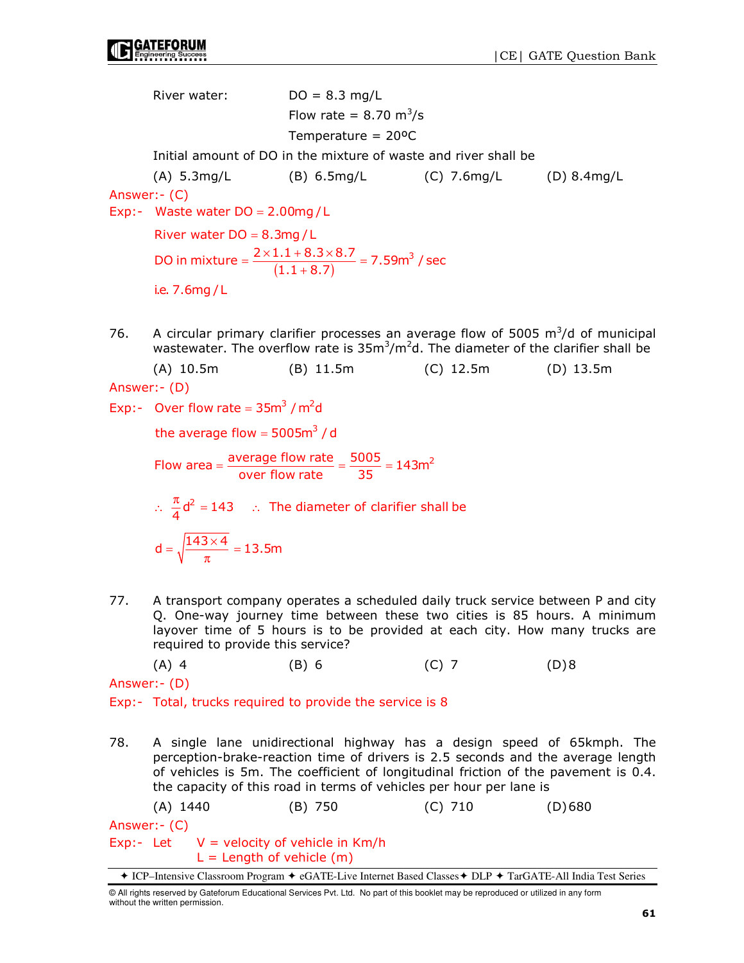River water:  $DO = 8.3$  mg/L  $F$ low rate = 8.70 m<sup>3</sup>/s Temperature = 20ºC Initial amount of DO in the mixture of waste and river shall be (A) 5.3mg/L (B) 6.5mg/L (C) 7.6mg/L (D) 8.4mg/L Answer:- (C) Exp:- Waste water  $DO = 2.00$ mg / L  $(1.1 + 8.7)$ DO in mixture =  $\frac{2 \times 1.1 + 8.3 \times 8.7}{(1.1 + 8.7)}$  = 7.59m<sup>3</sup> / sec River water  $DO = 8.3mg/L$ i.e. 7.6mg / L  $=\frac{2\times1.1+8.3\times8.7}{(1.1+8.7)}$ 76. A circular primary clarifier processes an average flow of 5005  $m^3/d$  of municipal wastewater. The overflow rate is  $35m^3/m^2d$ . The diameter of the clarifier shall be (A) 10.5m (B) 11.5m (C) 12.5m (D) 13.5m Answer:- (D) Exp:- Over flow rate =  $35m<sup>3</sup>$  /  $m<sup>2</sup>d$ 

the average flow =  $5005m<sup>3</sup>$  / d

Flow area =  $\frac{\text{average flow rate}}{\text{over flow rate}} = \frac{5005}{35} = 143 \text{m}^2$ 

∴  $\frac{\pi}{4}d^2 = 143$  ∴ The diameter of clarifier shall be

$$
d = \sqrt{\frac{143 \times 4}{\pi}} = 13.5m
$$

77. A transport company operates a scheduled daily truck service between P and city Q. One-way journey time between these two cities is 85 hours. A minimum layover time of 5 hours is to be provided at each city. How many trucks are required to provide this service?

(A) 4 (B) 6 (C) 7 (D) 8

Answer:- (D)

Exp:- Total, trucks required to provide the service is 8

78. A single lane unidirectional highway has a design speed of 65kmph. The perception-brake-reaction time of drivers is 2.5 seconds and the average length of vehicles is 5m. The coefficient of longitudinal friction of the pavement is 0.4. the capacity of this road in terms of vehicles per hour per lane is

 (A) 1440 (B) 750 (C) 710 (D) 680 Answer:- (C) Exp:- Let  $V =$  velocity of vehicle in Km/h  $L =$  Length of vehicle  $(m)$ 

<sup>+</sup> ICP–Intensive Classroom Program + eGATE-Live Internet Based Classes + DLP + TarGATE-All India Test Series

<sup>©</sup> All rights reserved by Gateforum Educational Services Pvt. Ltd. No part of this booklet may be reproduced or utilized in any form without the written permission.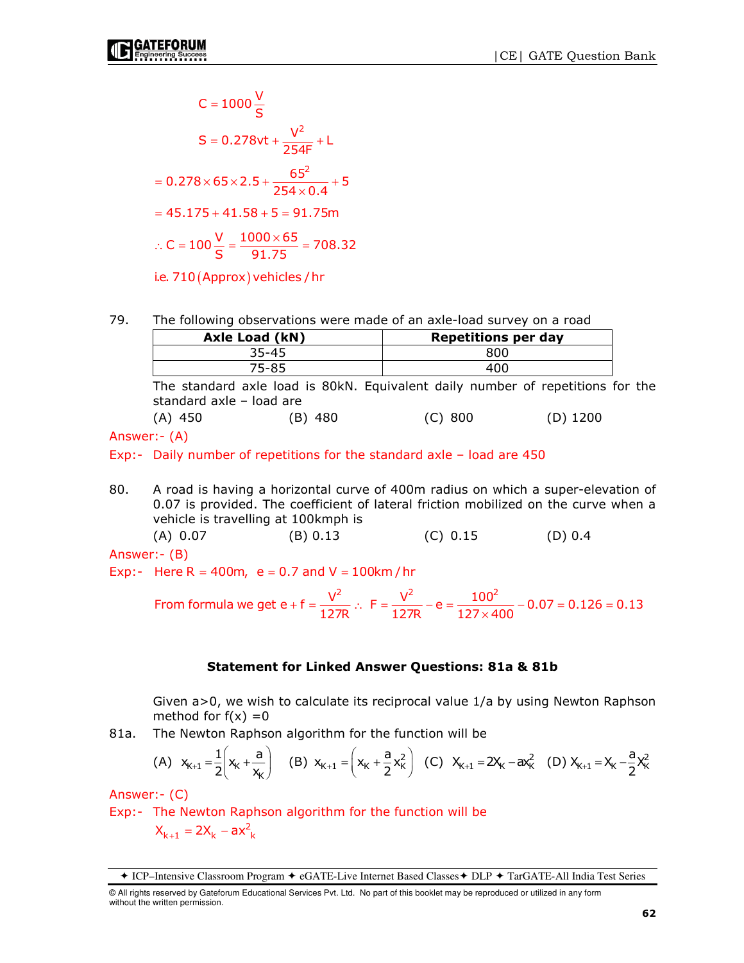C = 1000 
$$
\frac{V}{S}
$$
  
\nS = 0.278vt +  $\frac{V^2}{254F}$  + L  
\n= 0.278 × 65 × 2.5 +  $\frac{65^2}{254 × 0.4}$  + 5  
\n= 45.175 + 41.58 + 5 = 91.75m  
\n∴ C = 100  $\frac{V}{S}$  =  $\frac{1000 × 65}{91.75}$  = 708.32

i.e. 710 (Approx) vehicles / hr

79. The following observations were made of an axle-load survey on a road

| <b>Axle Load (kN)</b> | <b>Repetitions per day</b> |
|-----------------------|----------------------------|
| 35-45                 | 800                        |
| 75-85                 |                            |

 The standard axle load is 80kN. Equivalent daily number of repetitions for the standard axle – load are

(A) 450 (B) 480 (C) 800 (D) 1200

Answer:- (A)

Exp:- Daily number of repetitions for the standard axle – load are 450

80. A road is having a horizontal curve of 400m radius on which a super-elevation of 0.07 is provided. The coefficient of lateral friction mobilized on the curve when a vehicle is travelling at 100kmph is (A) 0.07 (B) 0.13 (C) 0.15 (D) 0.4

Answer:- (B)

Exp:- Here R = 400m,  $e = 0.7$  and V = 100km/hr

From formula we get 
$$
e + f = \frac{V^2}{127R}
$$
.  $F = \frac{V^2}{127R} - e = \frac{100^2}{127 \times 400} - 0.07 = 0.126 = 0.13$ 

#### Statement for Linked Answer Questions: 81a & 81b

 Given a>0, we wish to calculate its reciprocal value 1/a by using Newton Raphson method for  $f(x) = 0$ 

81a. The Newton Raphson algorithm for the function will be

(A) 
$$
x_{K+1} = \frac{1}{2} \left( x_K + \frac{a}{x_K} \right)
$$
 (B)  $x_{K+1} = \left( x_K + \frac{a}{2} x_K^2 \right)$  (C)  $x_{K+1} = 2x_K - ax_K^2$  (D)  $x_{K+1} = x_K - \frac{a}{2} x_K^2$ 

Answer:- (C)

Exp:- The Newton Raphson algorithm for the function will be  $X_{k+1} = 2X_k - ax_k^2$ 

ICP–Intensive Classroom Program eGATE-Live Internet Based Classes DLP TarGATE-All India Test Series

<sup>©</sup> All rights reserved by Gateforum Educational Services Pvt. Ltd. No part of this booklet may be reproduced or utilized in any form without the written permission.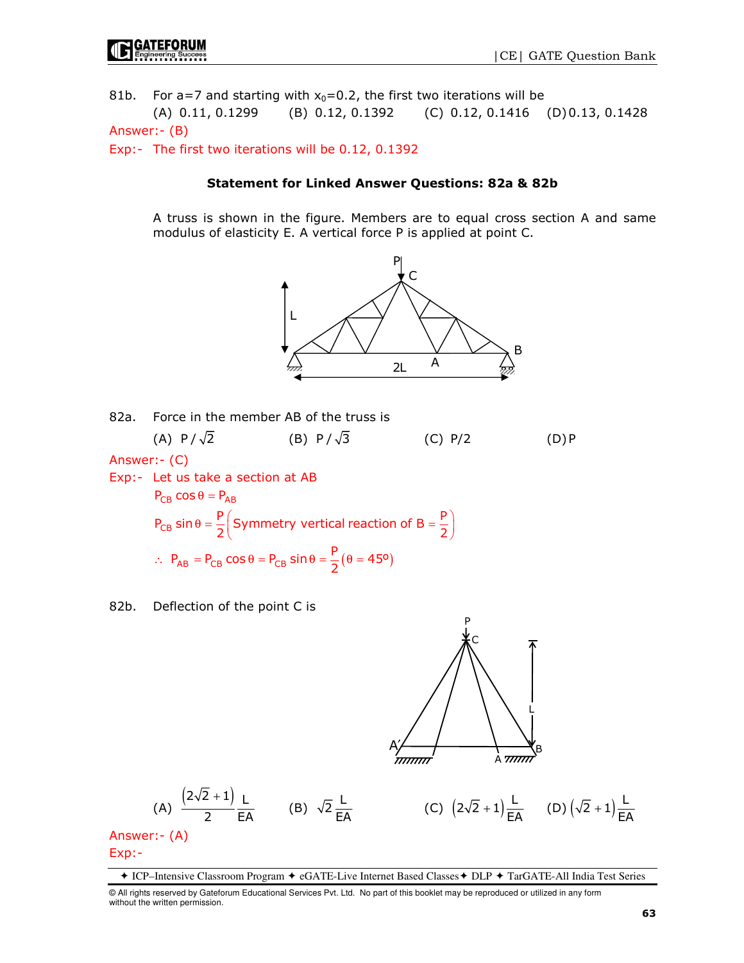81b. For a=7 and starting with  $x_0=0.2$ , the first two iterations will be (A) 0.11, 0.1299 (B) 0.12, 0.1392 (C) 0.12, 0.1416 (D) 0.13, 0.1428

Answer:- (B)

Exp:- The first two iterations will be 0.12, 0.1392

#### Statement for Linked Answer Questions: 82a & 82b

 A truss is shown in the figure. Members are to equal cross section A and same modulus of elasticity E. A vertical force P is applied at point C.





82b. Deflection of the point C is



(A) 
$$
\frac{(2\sqrt{2}+1)}{2} \frac{L}{EA}
$$
 (B)  $\sqrt{2} \frac{L}{EA}$ 

(C) 
$$
(2\sqrt{2} + 1)\frac{L}{EA}
$$
 (D)  $(\sqrt{2} + 1)\frac{L}{EA}$ 

Answer:- (A) Exp:-

◆ ICP–Intensive Classroom Program ◆ eGATE-Live Internet Based Classes ◆ DLP ◆ TarGATE-All India Test Series

<sup>©</sup> All rights reserved by Gateforum Educational Services Pvt. Ltd. No part of this booklet may be reproduced or utilized in any form without the written permission.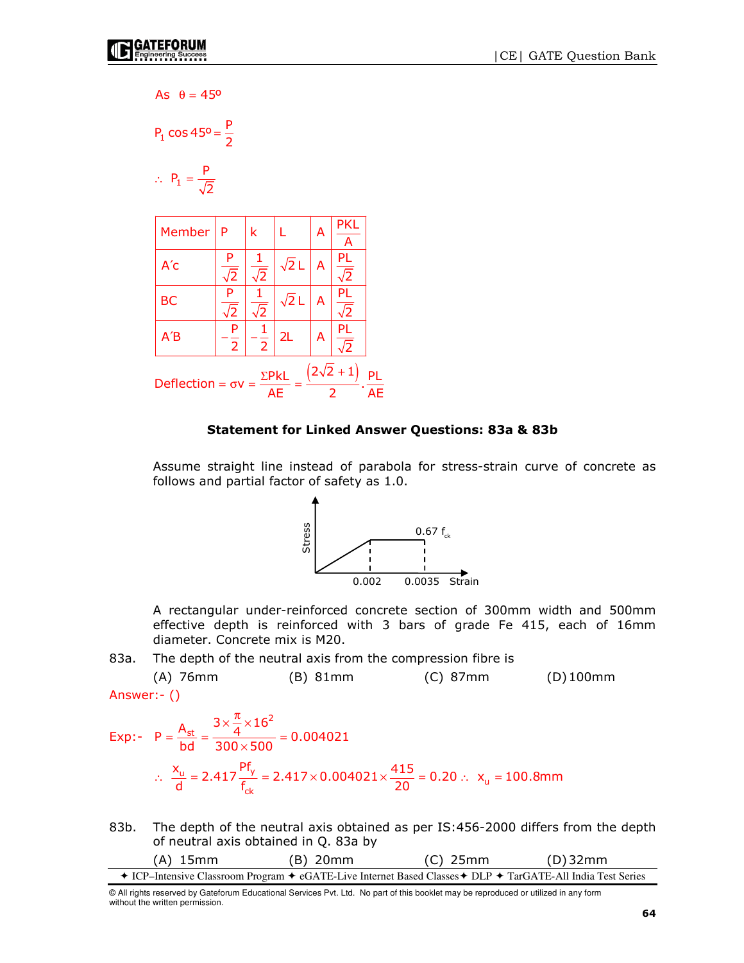$\sim$ 

As 
$$
\theta = 45^{\circ}
$$
  
\nP<sub>1</sub> cos 45° =  $\frac{\text{P}}{2}$   
\n $\therefore$  P<sub>1</sub> =  $\frac{\text{P}}{\sqrt{2}}$ 

|                                                                                | Member    | P                   | k                     |              | А | PKL<br>А |  |
|--------------------------------------------------------------------------------|-----------|---------------------|-----------------------|--------------|---|----------|--|
|                                                                                | A'c       | P<br>$\sqrt{2}$     | $\sqrt{2}$            | $\sqrt{2}$ L | A | PL<br>2  |  |
|                                                                                | <b>BC</b> | P<br>√2             | $\overline{\sqrt{2}}$ | $\sqrt{2}$ L | А | PL<br>2  |  |
|                                                                                | A'B       | P<br>$\overline{2}$ | $\overline{2}$        | 2L           | А | PL<br>2  |  |
| $(2\sqrt{2}+1)$<br>$\Sigma$ PkL<br>Deflection = $\sigma v$ =<br><b>AE</b><br>フ |           |                     |                       |              |   |          |  |

#### Statement for Linked Answer Questions: 83a & 83b

Assume straight line instead of parabola for stress-strain curve of concrete as follows and partial factor of safety as 1.0.



A rectangular under-reinforced concrete section of 300mm width and 500mm effective depth is reinforced with 3 bars of grade Fe 415, each of 16mm diameter. Concrete mix is M20.

83a. The depth of the neutral axis from the compression fibre is

 (A) 76mm (B) 81mm (C) 87mm (D) 100mm Answer:- ()

$$
\begin{aligned} \text{Exp:} \quad P &= \frac{A_{\text{st}}}{bd} = \frac{3 \times \frac{\pi}{4} \times 16^2}{300 \times 500} = 0.004021 \\ \therefore \quad \frac{x_{\text{u}}}{d} &= 2.417 \frac{Pf_y}{f_{\text{ck}}} = 2.417 \times 0.004021 \times \frac{415}{20} = 0.20 \therefore \quad x_{\text{u}} = 100.8 \text{mm} \end{aligned}
$$

83b. The depth of the neutral axis obtained as per IS:456-2000 differs from the depth of neutral axis obtained in Q. 83a by

| $(A)$ 15mm                                                                                                  | $(B)$ 20mm | $(C)$ 25mm | $(D)$ 32mm |
|-------------------------------------------------------------------------------------------------------------|------------|------------|------------|
| + ICP–Intensive Classroom Program + eGATE-Live Internet Based Classes + DLP + TarGATE-All India Test Series |            |            |            |

<sup>©</sup> All rights reserved by Gateforum Educational Services Pvt. Ltd. No part of this booklet may be reproduced or utilized in any form without the written permission.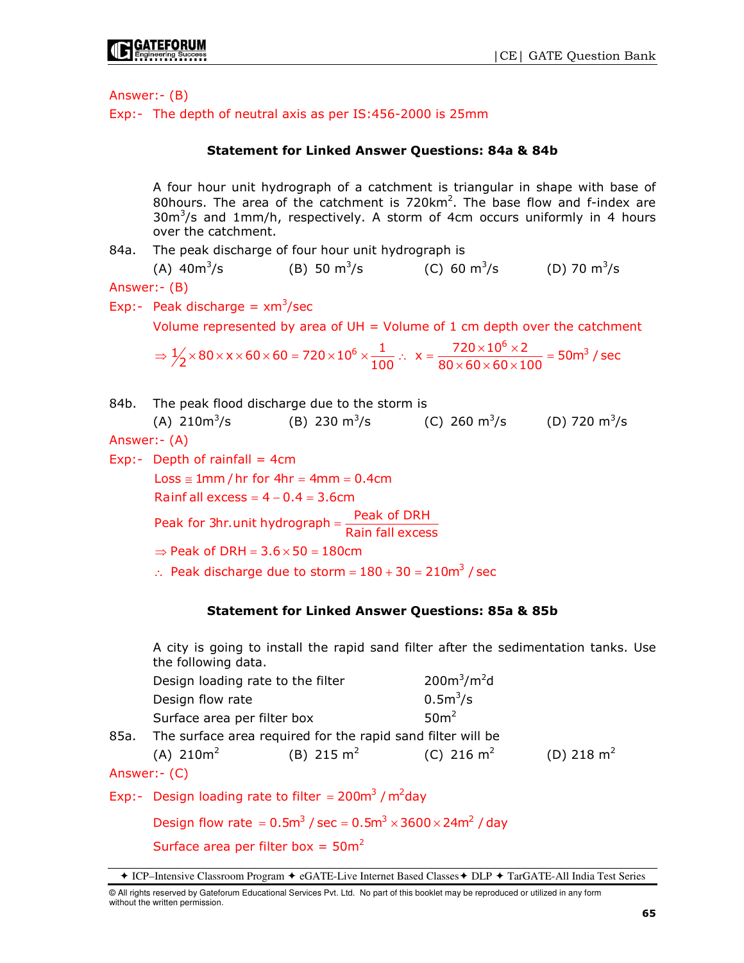

Answer:- (B)

Exp:- The depth of neutral axis as per IS:456-2000 is 25mm

### Statement for Linked Answer Questions: 84a & 84b

 A four hour unit hydrograph of a catchment is triangular in shape with base of 80hours. The area of the catchment is  $720 \text{km}^2$ . The base flow and f-index are  $30m<sup>3</sup>/s$  and 1mm/h, respectively. A storm of 4cm occurs uniformly in 4 hours over the catchment.

84a. The peak discharge of four hour unit hydrograph is

 $(A)$  40 $m^3/s$ (B) 50  $\text{m}^3/\text{s}$ /s (C)  $60 \text{ m}^3\text{/s}$  (D)  $70 \text{ m}^3\text{/s}$ 

Answer:- (B)

Exp:- Peak discharge =  $xm^3$ /sec

Volume represented by area of  $UH = V$ olume of 1 cm depth over the catchment

 $\Rightarrow$   $\frac{1}{2} \times 80 \times x \times 60 \times 60 = 720 \times 10^6 \times \frac{1}{100}$   $\therefore$   $x = \frac{720 \times 10^6 \times 2}{80 \times 60 \times 60 \times 100} = 50$ m $^3$  / sec

84b. The peak flood discharge due to the storm is (A) 210m<sup>3</sup>/s (B) 230 m<sup>3</sup>/s (C) 260 m<sup>3</sup>/s (D) 720 m<sup>3</sup>/s

Answer:- (A)

Exp:- Depth of rainfall  $=$  4cm ∴ Peak discharge due to storm =  $180 + 30 = 210$ m<sup>3</sup> / sec  $Loss \cong 1mm / hr$  for  $4hr = 4mm = 0.4cm$ Rainf all  $excess = 4 - 0.4 = 3.6cm$ Peak for 3hr.unit hydrograph =  $\frac{\text{Peak of DRH}}{\text{Rain fall excess}}$  $\Rightarrow$  Peak of DRH = 3.6  $\times$  50 = 180cm

### Statement for Linked Answer Questions: 85a & 85b

A city is going to install the rapid sand filter after the sedimentation tanks. Use the following data.

| Design loading rate to the filter                                           |                                                                           | $200m^3/m^2d$    |              |
|-----------------------------------------------------------------------------|---------------------------------------------------------------------------|------------------|--------------|
| Design flow rate                                                            |                                                                           | $0.5m^3/s$       |              |
| Surface area per filter box                                                 |                                                                           | 50 <sup>m²</sup> |              |
|                                                                             | 85a. The surface area required for the rapid sand filter will be          |                  |              |
| (A) $210m^2$                                                                | (B) $215 \text{ m}^2$ (C) $216 \text{ m}^2$                               |                  | (D) 218 $m2$ |
| Answer:- (C)                                                                |                                                                           |                  |              |
|                                                                             | Exp:- Design loading rate to filter = 200 $\text{m}^3$ / $\text{m}^2$ day |                  |              |
| Design flow rate = $0.5m^3$ / sec = $0.5m^3 \times 3600 \times 24m^2$ / day |                                                                           |                  |              |

Surface area per filter box =  $50m^2$ 

ICP–Intensive Classroom Program eGATE-Live Internet Based Classes DLP TarGATE-All India Test Series

<sup>©</sup> All rights reserved by Gateforum Educational Services Pvt. Ltd. No part of this booklet may be reproduced or utilized in any form without the written permission.